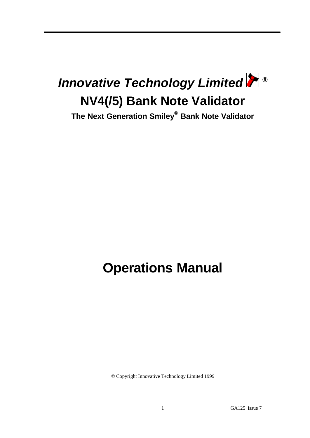

**The Next Generation Smiley® Bank Note Validator**

# **Operations Manual**

© Copyright Innovative Technology Limited 1999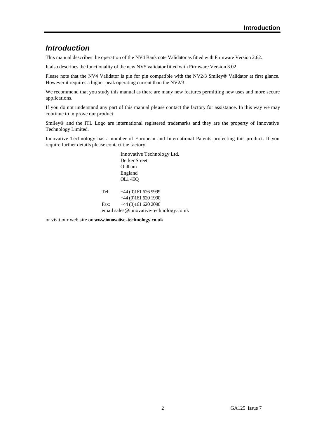# *Introduction*

This manual describes the operation of the NV4 Bank note Validator as fitted with Firmware Version 2.62.

It also describes the functionality of the new NV5 validator fitted with Firmware Version 3.02.

Please note that the NV4 Validator is pin for pin compatible with the NV2/3 Smiley® Validator at first glance. However it requires a higher peak operating current than the NV2/3.

We recommend that you study this manual as there are many new features permitting new uses and more secure applications.

If you do not understand any part of this manual please contact the factory for assistance. In this way we may continue to improve our product.

Smiley® and the ITL Logo are international registered trademarks and they are the property of Innovative Technology Limited.

Innovative Technology has a number of European and International Patents protecting this product. If you require further details please contact the factory.

> Innovative Technology Ltd. Derker Street Oldham England OL1 4EQ Tel: +44 (0)161 626 9999 +44 (0)161 620 1990 Fax: +44 (0)161 620 2090 email sales@innovative-technology.co.uk

or visit our web site on **www.innovative-technology.co.uk**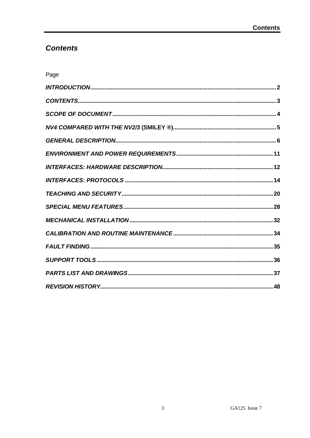# **Contents**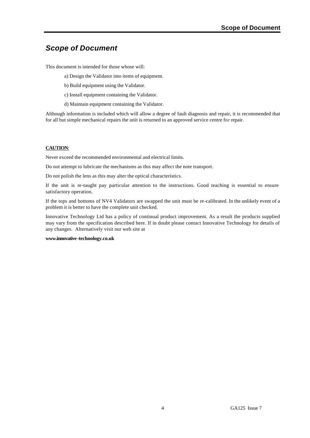# *Scope of Document*

This document is intended for those whose will:

- a) Design the Validator into items of equipment.
- b) Build equipment using the Validator.
- c) Install equipment containing the Validator.
- d) Maintain equipment containing the Validator.

Although information is included which will allow a degree of fault diagnosis and repair, it is recommended that for all but simple mechanical repairs the unit is returned to an approved service centre for repair.

### **CAUTION**:

Never exceed the recommended environmental and electrical limits.

Do not attempt to lubricate the mechanisms as this may affect the note transport.

Do not polish the lens as this may alter the optical characteristics.

If the unit is re-taught pay particular attention to the instructions. Good teaching is essential to ensure satisfactory operation.

If the tops and bottoms of NV4 Validators are swapped the unit must be re-calibrated. In the unlikely event of a problem it is better to have the complete unit checked.

Innovative Technology Ltd has a policy of continual product improvement. As a result the products supplied may vary from the specification described here. If in doubt please contact Innovative Technology for details of any changes. Alternatively visit our web site at

#### **www.innovative-technology.co.uk**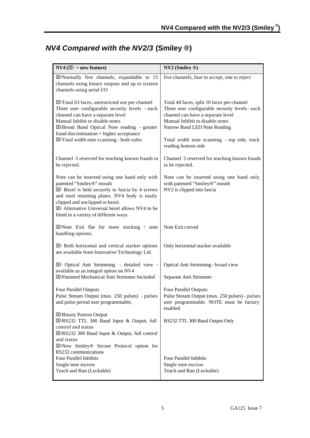# *NV4 Compared with the NV2/3* **(Smiley ®)**

| $NVA$ ( $\otimes$ = new feature)                                                                                                                                                                                                                                                                                                 | NV2 (Smiley ®)                                                                                                                                                                                                                                                             |
|----------------------------------------------------------------------------------------------------------------------------------------------------------------------------------------------------------------------------------------------------------------------------------------------------------------------------------|----------------------------------------------------------------------------------------------------------------------------------------------------------------------------------------------------------------------------------------------------------------------------|
| X Normally five channels, expandable to 15<br>channels using binary outputs and up to sixteen<br>channels using serial I/O                                                                                                                                                                                                       | five channels, four to accept, one to reject                                                                                                                                                                                                                               |
| <b>⊠</b> Total 63 faces, unrestricted use per channel<br>Three user configurable security levels - each<br>channel can have a separate level<br>Manual Inhibit to disable notes<br>E>Broad Band Optical Note reading - greater<br>fraud discrimination + higher acceptance<br>X Total width note scanning - both sides           | Total 44 faces, split 10 faces per channel<br>Three user configurable security levels - each<br>channel can have a separate level<br>Manual Inhibit to disable notes<br>Narrow Band LED Note Reading<br>Total width note scanning - top side, track<br>reading bottom side |
| Channel 5 reserved for teaching known frauds to<br>be rejected.                                                                                                                                                                                                                                                                  | Channel 5 reserved for teaching known frauds<br>to be rejected.                                                                                                                                                                                                            |
| Note can be inserted using one hand only with<br>patented "Smiley®" mouth<br>$\boxtimes$ Bezel is held securely to fascia by 4 screws<br>and steel retaining plates. NV4 body is easily<br>clipped and unclipped to bezel.<br>$\boxtimes$ Alternative Universal bezel allows NV4 to be<br>fitted in a variety of different ways. | Note can be inserted using one hand only<br>with patented "Smiley®" mouth<br>NV2 is clipped into fascia                                                                                                                                                                    |
| $\boxtimes$ Note Exit flat for more stacking / note<br>handling options.                                                                                                                                                                                                                                                         | Note Exit curved                                                                                                                                                                                                                                                           |
| $\boxtimes$ Both horizontal and vertical stacker options<br>are available from Innovative Technology Ltd.                                                                                                                                                                                                                        | Only horizontal stacker available                                                                                                                                                                                                                                          |
| $\boxtimes$ Optical Anti Strimming - detailed view -<br>available as an integral option on NV4<br>E>Patented Mechanical Anti Strimmer Included                                                                                                                                                                                   | Optical Anti Strimming - broad view<br>Separate Anti Strimmer                                                                                                                                                                                                              |
| <b>Four Parallel Outputs</b><br>Pulse Stream Output (max. 250 pulses) - pulses<br>and pulse period user programmable,                                                                                                                                                                                                            | <b>Four Parallel Outputs</b><br>Pulse Stream Output (max. 250 pulses) - pulses<br>user programmable. NOTE must be factory<br>enabled                                                                                                                                       |
| <b>E</b> >Binary Pattern Output<br>E>RS232 TTL 300 Baud Input & Output, full<br>control and status<br>⊠RS232 300 Baud Input & Output, full control                                                                                                                                                                               | RS232 TTL 300 Baud Output Only                                                                                                                                                                                                                                             |
| and status<br>E>New Smiley® Secure Protocol option for<br>RS232 communications                                                                                                                                                                                                                                                   |                                                                                                                                                                                                                                                                            |
| <b>Four Parallel Inhibits</b><br>Single note escrow                                                                                                                                                                                                                                                                              | Four Parallel Inhibits<br>Single note escrow                                                                                                                                                                                                                               |
| Teach and Run (Lockable)                                                                                                                                                                                                                                                                                                         | Teach and Run (Lockable)                                                                                                                                                                                                                                                   |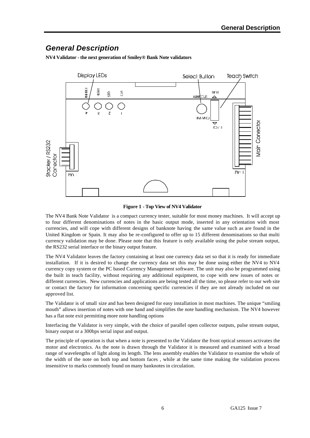# *General Description*

**NV4 Validator - the next generation of Smiley® Bank Note validators**



#### **Figure 1 - Top View of NV4 Validator**

The NV4 Bank Note Validator is a compact currency tester, suitable for most money machines. It will accept up to four different denominations of notes in the basic output mode, inserted in any orientation with most currencies, and will cope with different designs of banknote having the same value such as are found in the United Kingdom or Spain. It may also be re-configured to offer up to 15 different denominations so that multi currency validation may be done. Please note that this feature is only available using the pulse stream output, the RS232 serial interface or the binary output feature.

The NV4 Validator leaves the factory containing at least one currency data set so that it is ready for immediate installation. If it is desired to change the currency data set this may be done using either the NV4 to NV4 currency copy system or the PC based Currency Management software. The unit may also be programmed using the built in teach facility, without requiring any additional equipment, to cope with new issues of notes or different currencies. New currencies and applications are being tested all the time, so please refer to our web site or contact the factory for information concerning specific currencies if they are not already included on our approved list.

The Validator is of small size and has been designed for easy installation in most machines. The unique "smiling mouth" allows insertion of notes with one hand and simplifies the note handling mechanism. The NV4 however has a flat note exit permitting more note handling options

Interfacing the Validator is very simple, with the choice of parallel open collector outputs, pulse stream output, binary output or a 300bps serial input and output.

The principle of operation is that when a note is presented to the Validator the front optical sensors activates the motor and electronics. As the note is drawn through the Validator it is measured and examined with a broad range of wavelengths of light along its length. The lens assembly enables the Validator to examine the whole of the width of the note on both top and bottom faces , while at the same time making the validation process insensitive to marks commonly found on many banknotes in circulation.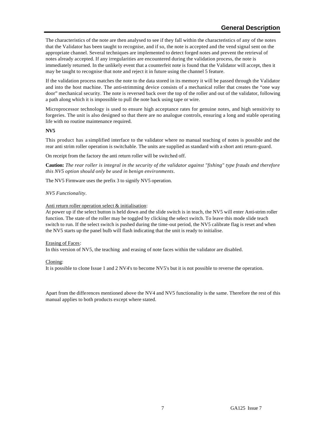The characteristics of the note are then analysed to see if they fall within the characteristics of any of the notes that the Validator has been taught to recognise, and if so, the note is accepted and the vend signal sent on the appropriate channel. Several techniques are implemented to detect forged notes and prevent the retrieval of notes already accepted. If any irregularities are encountered during the validation process, the note is immediately returned. In the unlikely event that a counterfeit note is found that the Validator will accept, then it may be taught to recognise that note and reject it in future using the channel 5 feature.

If the validation process matches the note to the data stored in its memory it will be passed through the Validator and into the host machine. The anti-strimming device consists of a mechanical roller that creates the "one way door" mechanical security. The note is reversed back over the top of the roller and out of the validator, following a path along which it is impossible to pull the note back using tape or wire.

Microprocessor technology is used to ensure high acceptance rates for genuine notes, and high sensitivity to forgeries. The unit is also designed so that there are no analogue controls, ensuring a long and stable operating life with no routine maintenance required.

#### **NV5**

This product has a simplified interface to the validator where no manual teaching of notes is possible and the rear anti strim roller operation is switchable. The units are supplied as standard with a short anti return-guard.

On receipt from the factory the anti return roller will be switched off.

**Caution:** *The rear roller is integral in the security of the validator against "fishing" type frauds and therefore this NV5 option should only be used in benign environments*.

The NV5 Firmware uses the prefix 3 to signify NV5 operation.

#### *NV5 Functionality*.

#### Anti return roller operation select & initialisation:

At power up if the select button is held down and the slide switch is in teach, the NV5 will enter Anti-strim roller function. The state of the roller may be toggled by clicking the select switch. To leave this mode slide teach switch to run. If the select switch is pushed during the time-out period, the NV5 calibrate flag is reset and when the NV5 starts up the panel bulb will flash indicating that the unit is ready to initialise.

#### Erasing of Faces:

In this version of NV5, the teaching and erasing of note faces within the validator are disabled.

### Cloning:

It is possible to clone Issue 1 and 2 NV4's to become NV5's but it is not possible to reverse the operation.

Apart from the differences mentioned above the NV4 and NV5 functionality is the same. Therefore the rest of this manual applies to both products except where stated.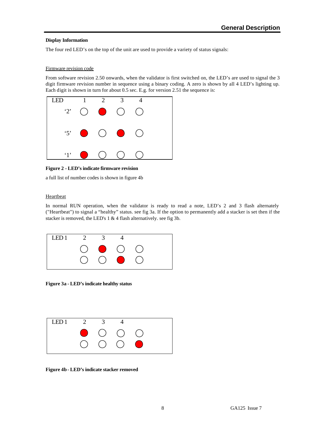#### **Display Information**

The four red LED's on the top of the unit are used to provide a variety of status signals:

#### Firmware revision code

From software revision 2.50 onwards, when the validator is first switched on, the LED's are used to signal the 3 digit firmware revision number in sequence using a binary coding. A zero is shown by all 4 LED's lighting up. Each digit is shown in turn for about 0.5 sec. E.g. for version 2.51 the sequence is:



**Figure 2 - LED's indicate firmware revision**

a full list of number codes is shown in figure 4b

### **Heartbeat**

In normal RUN operation, when the validator is ready to read a note, LED's 2 and 3 flash alternately ("Heartbeat") to signal a "healthy" status. see fig 3a. If the option to permanently add a stacker is set then if the stacker is removed, the LED's 1 & 4 flash alternatively. see fig 3b.



**Figure 3a - LED's indicate healthy status**



**Figure 4b - LED's indicate stacker removed**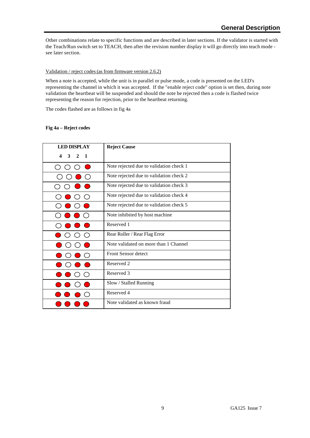Other combinations relate to specific functions and are described in later sections. If the validator is started with the Teach/Run switch set to TEACH, then after the revision number display it will go directly into teach mode see later section.

### Validation / reject codes (as from firmware version 2.6.2)

When a note is accepted, while the unit is in parallel or pulse mode, a code is presented on the LED's representing the channel in which it was accepted. If the "enable reject code" option is set then, during note validation the heartbeat will be suspended and should the note be rejected then a code is flashed twice representing the reason for rejection, prior to the heartbeat returning.

The codes flashed are as follows in fig 4a

### **Fig 4a – Reject codes**

| <b>LED DISPLAY</b>                         | <b>Reject Cause</b>                     |
|--------------------------------------------|-----------------------------------------|
| 3<br>$\boldsymbol{4}$<br>2<br>$\mathbf{1}$ |                                         |
|                                            | Note rejected due to validation check 1 |
|                                            | Note rejected due to validation check 2 |
|                                            | Note rejected due to validation check 3 |
|                                            | Note rejected due to validation check 4 |
|                                            | Note rejected due to validation check 5 |
|                                            | Note inhibited by host machine          |
|                                            | Reserved 1                              |
| ( )                                        | Rear Roller / Rear Flag Error           |
|                                            | Note validated on more than 1 Channel   |
|                                            | <b>Front Sensor detect</b>              |
|                                            | Reserved 2                              |
|                                            | Reserved 3                              |
|                                            | Slow / Stalled Running                  |
|                                            | Reserved 4                              |
|                                            | Note validated as known fraud           |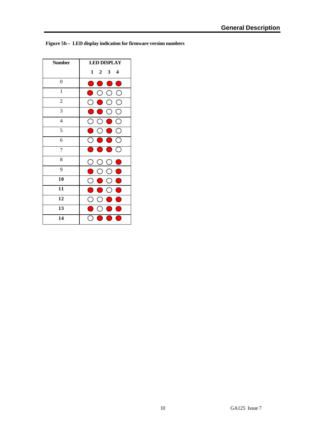| <b>Number</b>    | <b>LED DISPLAY</b>                                                          |  |  |
|------------------|-----------------------------------------------------------------------------|--|--|
|                  | $\mathbf{1}$<br>$\mathbf{3}$<br>$\mathbf{2}$<br>4                           |  |  |
| $\boldsymbol{0}$ | $\bigcirc$<br>e i<br><b>College</b>                                         |  |  |
| $\mathbf{1}$     | (                                                                           |  |  |
| $\sqrt{2}$       | С<br>(                                                                      |  |  |
| 3                | ( )<br>(                                                                    |  |  |
| $\overline{4}$   | $\left(\begin{array}{c} 1 \end{array}\right)$<br>⊖<br>( )<br>$\blacksquare$ |  |  |
| 5                |                                                                             |  |  |
| 6                |                                                                             |  |  |
| $\overline{7}$   | $\bullet$<br>$\subset$<br>$\blacksquare$                                    |  |  |
| 8                | О<br>C<br>$\bullet$<br>C                                                    |  |  |
| 9                | $\bullet$<br>O<br>$\left( \begin{array}{c} 1 \end{array} \right)$<br>( )    |  |  |
| 10               | ۲<br>С<br>(                                                                 |  |  |
| 11               |                                                                             |  |  |
| 12               |                                                                             |  |  |
| 13               |                                                                             |  |  |
| 14               |                                                                             |  |  |

**Figure 5b – LED display indication for firmware version numbers**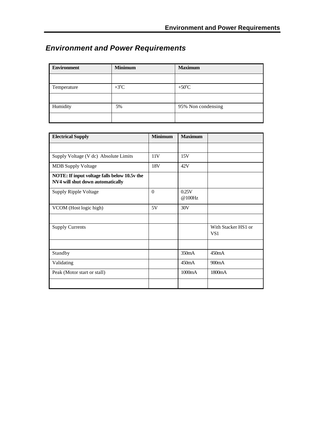# *Environment and Power Requirements*

| <b>Environment</b> | <b>Minimum</b> | <b>Maximum</b>     |
|--------------------|----------------|--------------------|
|                    |                |                    |
| Temperature        | $+3$ °C        | $+50^{\circ}$ C    |
|                    |                |                    |
| Humidity           | 5%             | 95% Non condensing |
|                    |                |                    |

| <b>Electrical Supply</b>                                                         | <b>Minimum</b> | <b>Maximum</b>  |                            |
|----------------------------------------------------------------------------------|----------------|-----------------|----------------------------|
|                                                                                  |                |                 |                            |
| Supply Voltage (V dc) Absolute Limits                                            | 11V            | 15V             |                            |
| <b>MDB</b> Supply Voltage                                                        | 18V            | 42V             |                            |
| NOTE: If input voltage falls below 10.5v the<br>NV4 will shut down automatically |                |                 |                            |
| Supply Ripple Voltage                                                            | $\theta$       | 0.25V<br>@100Hz |                            |
| VCOM (Host logic high)                                                           | 5V             | 30V             |                            |
|                                                                                  |                |                 |                            |
| <b>Supply Currents</b>                                                           |                |                 | With Stacker HS1 or<br>VS1 |
|                                                                                  |                |                 |                            |
| Standby                                                                          |                | 350mA           | 450mA                      |
| Validating                                                                       |                | 450mA           | 900mA                      |
| Peak (Motor start or stall)                                                      |                | 1000mA          | 1800mA                     |
|                                                                                  |                |                 |                            |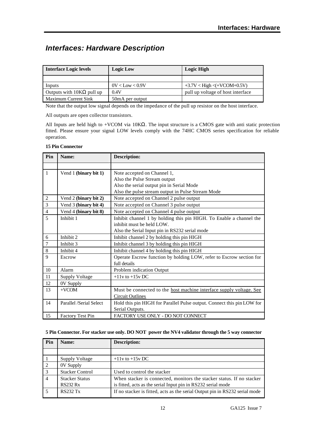# *Interfaces: Hardware Description*

| <b>Interface Logic levels</b>    | <b>Logic Low</b>    | <b>Logic High</b>                 |
|----------------------------------|---------------------|-----------------------------------|
|                                  |                     |                                   |
| Inputs                           | $0V <$ Low $< 0.9V$ | $+3.7V <$ High $\lt$ (+VCOM+0.5V) |
| Outputs with $10K\Omega$ pull up | 0.4V                | pull up voltage of host interface |
| <b>Maximum Current Sink</b>      | 50 mA per output    |                                   |

Note that the output low signal depends on the impedance of the pull up resistor on the host interface.

All outputs are open collector transistors.

All Inputs are held high to +VCOM via 10KΩ. The input structure is a CMOS gate with anti static protection fitted. Please ensure your signal LOW levels comply with the 74HC CMOS series specification for reliable operation.

|  |  | <b>15 Pin Connector</b> |
|--|--|-------------------------|
|--|--|-------------------------|

| Pin            | Name:                   | <b>Description:</b>                                                        |
|----------------|-------------------------|----------------------------------------------------------------------------|
|                |                         |                                                                            |
| $\mathbf{1}$   | Vend 1 (binary bit 1)   | Note accepted on Channel 1,                                                |
|                |                         | Also the Pulse Stream output                                               |
|                |                         | Also the serial output pin in Serial Mode                                  |
|                |                         | Also the pulse stream output in Pulse Stream Mode                          |
| $\sqrt{2}$     | Vend 2 (binary bit 2)   | Note accepted on Channel 2 pulse output                                    |
| 3              | Vend 3 (binary bit 4)   | Note accepted on Channel 3 pulse output                                    |
| $\overline{4}$ | Vend 4 (binary bit 8)   | Note accepted on Channel 4 pulse output                                    |
| 5              | Inhibit 1               | Inhibit channel 1 by holding this pin HIGH. To Enable a channel the        |
|                |                         | inhibit must be held LOW.                                                  |
|                |                         | Also the Serial Input pin in RS232 serial mode                             |
| 6              | Inhibit 2               | Inhibit channel 2 by holding this pin HIGH                                 |
| $\tau$         | Inhibit 3               | Inhibit channel 3 by holding this pin HIGH                                 |
| $\,8\,$        | Inhibit 4               | Inhibit channel 4 by holding this pin HIGH                                 |
| 9              | Escrow                  | Operate Escrow function by holding LOW, refer to Escrow section for        |
|                |                         | full details                                                               |
| $10\,$         | Alarm                   | Problem indication Output                                                  |
| 11             | <b>Supply Voltage</b>   | $+11v$ to $+15v$ DC                                                        |
| 12             | 0V Supply               |                                                                            |
| 13             | $+VCOM$                 | Must be connected to the <u>host machine interface supply voltage. See</u> |
|                |                         | <b>Circuit Outlines</b>                                                    |
| 14             | Parallel /Serial Select | Hold this pin HIGH for Parallel Pulse output. Connect this pin LOW for     |
|                |                         | Serial Outputs.                                                            |
| 15             | <b>Factory Test Pin</b> | FACTORY USE ONLY - DO NOT CONNECT                                          |

#### **5 Pin Connector. For stacker use only. DO NOT power the NV4 validator through the 5 way connector**

| Pin            | Name:                                    | <b>Description:</b>                                                                                                                   |
|----------------|------------------------------------------|---------------------------------------------------------------------------------------------------------------------------------------|
|                |                                          |                                                                                                                                       |
|                | Supply Voltage                           | $+11v$ to $+15v$ DC                                                                                                                   |
| 2              | 0V Supply                                |                                                                                                                                       |
| 3              | <b>Stacker Control</b>                   | Used to control the stacker                                                                                                           |
| $\overline{4}$ | <b>Stacker Status</b><br><b>RS232 Rx</b> | When stacker is connected, monitors the stacker status. If no stacker<br>is fitted, acts as the serial Input pin in RS232 serial mode |
|                | <b>RS232 Tx</b>                          | If no stacker is fitted, acts as the serial Output pin in RS232 serial mode                                                           |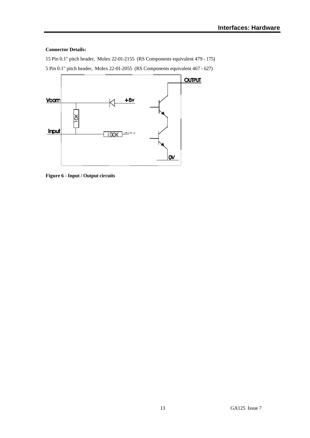#### **Connector Details:**

15 Pin 0.1" pitch header, Molex 22-01-2155 (RS Components equivalent 479 - 175) 5 Pin 0.1" pitch header, Molex 22-01-2055 (RS Components equivalent 467 - 627)



**Figure 6 - Input / Output circuits**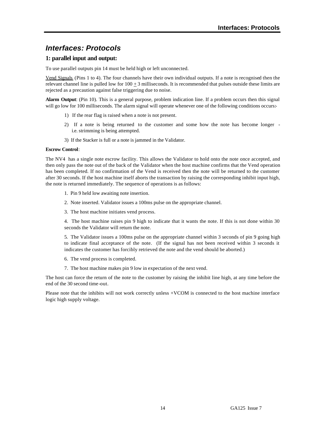# *Interfaces: Protocols*

### **1: parallel input and output:**

To use parallel outputs pin 14 must be held high or left unconnected.

Vend Signals (Pins 1 to 4). The four channels have their own individual outputs. If a note is recognised then the relevant channel line is pulled low for  $100 \pm 3$  milliseconds. It is recommended that pulses outside these limits are rejected as a precaution against false triggering due to noise.

**Alarm Output**: (Pin 10). This is a general purpose, problem indication line. If a problem occurs then this signal will go low for 100 milliseconds. The alarm signal will operate whenever one of the following conditions occurs:-

- 1) If the rear flag is raised when a note is not present.
- 2) If a note is being returned to the customer and some how the note has become longer i.e. strimming is being attempted.
- 3) If the Stacker is full or a note is jammed in the Validator.

#### **Escrow Control**:

The NV4 has a single note escrow facility. This allows the Validator to hold onto the note once accepted, and then only pass the note out of the back of the Validator when the host machine confirms that the Vend operation has been completed. If no confirmation of the Vend is received then the note will be returned to the customer after 30 seconds. If the host machine itself aborts the transaction by raising the corresponding inhibit input high, the note is returned immediately. The sequence of operations is as follows:

- 1. Pin 9 held low awaiting note insertion.
- 2. Note inserted. Validator issues a 100ms pulse on the appropriate channel.
- 3. The host machine initiates vend process.

4. The host machine raises pin 9 high to indicate that it wants the note. If this is not done within 30 seconds the Validator will return the note.

5. The Validator issues a 100ms pulse on the appropriate channel within 3 seconds of pin 9 going high to indicate final acceptance of the note. (If the signal has not been received within 3 seconds it indicates the customer has forcibly retrieved the note and the vend should be aborted.)

- 6. The vend process is completed.
- 7. The host machine makes pin 9 low in expectation of the next vend.

The host can force the return of the note to the customer by raising the inhibit line high, at any time before the end of the 30 second time-out.

Please note that the inhibits will not work correctly unless +VCOM is connected to the host machine interface logic high supply voltage.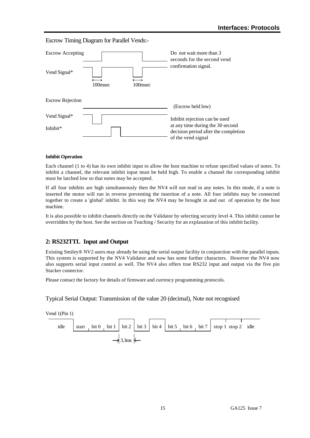### Escrow Timing Diagram for Parallel Vends:-



#### **Inhibit Operation**

Each channel (1 to 4) has its own inhibit input to allow the host machine to refuse specified values of notes. To inhibit a channel, the relevant inhibit input must be held high. To enable a channel the corresponding inhibit must be latched low so that notes may be accepted.

If all four inhibits are high simultaneously then the NV4 will not read in any notes. In this mode, if a note is inserted the motor will run in reverse preventing the insertion of a note. All four inhibits may be connected together to create a 'global' inhibit. In this way the NV4 may be brought in and out of operation by the host machine.

It is also possible to inhibit channels directly on the Validator by selecting security level 4. This inhibit cannot be overridden by the host. See the section on Teaching / Security for an explanation of this inhibit facility.

### **2: RS232TTL Input and Output**

Existing Smiley® NV2 users may already be using the serial output facility in conjunction with the parallel inputs. This system is supported by the NV4 Validator and now has some further characters. However the NV4 now also supports serial input control as well. The NV4 also offers true RS232 input and output via the five pin Stacker connector.

Please contact the factory for details of firmware and currency programming protocols.

Typical Serial Output: Transmission of the value 20 (decimal), Note not recognised

Vend 1(Pin 1)

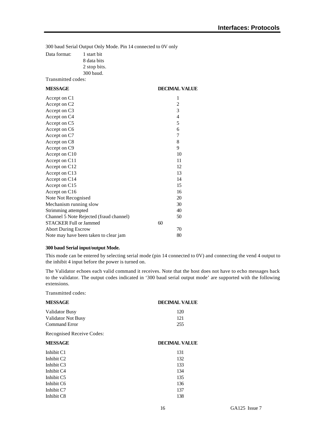300 baud Serial Output Only Mode. Pin 14 connected to 0V only

Data format: 1 start bit 8 data bits 2 stop bits.

300 baud. Transmitted codes:

| <b>MESSAGE</b>                          | <b>DECIMAL VALUE</b> |  |
|-----------------------------------------|----------------------|--|
| Accept on C1                            | 1                    |  |
| Accept on C2                            | $\overline{c}$       |  |
| Accept on C <sub>3</sub>                | 3                    |  |
| Accept on C4                            | $\overline{4}$       |  |
| Accept on C5                            | 5                    |  |
| Accept on C6                            | 6                    |  |
| Accept on C7                            | 7                    |  |
| Accept on C8                            | 8                    |  |
| Accept on C9                            | 9                    |  |
| Accept on C10                           | 10                   |  |
| Accept on C11                           | 11                   |  |
| Accept on C12                           | 12                   |  |
| Accept on C13                           | 13                   |  |
| Accept on C14                           | 14                   |  |
| Accept on C15                           | 15                   |  |
| Accept on C16                           | 16                   |  |
| Note Not Recognised                     | 20                   |  |
| Mechanism running slow                  | 30                   |  |
| Strimming attempted                     | 40                   |  |
| Channel 5 Note Rejected (fraud channel) | 50                   |  |
| <b>STACKER Full or Jammed</b>           | 60                   |  |
| <b>Abort During Escrow</b>              | 70                   |  |
| Note may have been taken to clear jam   | 80                   |  |
|                                         |                      |  |

#### **300 baud Serial input/output Mode.**

This mode can be entered by selecting serial mode (pin 14 connected to 0V) and connecting the vend 4 output to the inhibit 4 input before the power is turned on.

The Validator echoes each valid command it receives. Note that the host does not have to echo messages back to the validator. The output codes indicated in '300 baud serial output mode' are supported with the following extensions.

Transmitted codes:

| <b>MESSAGE</b>            | <b>DECIMAL VALUE</b> |
|---------------------------|----------------------|
| <b>Validator Busy</b>     | 120                  |
| Validator Not Busy        | 121                  |
| <b>Command Error</b>      | 255                  |
| Recognised Receive Codes: |                      |
| <b>MESSAGE</b>            | <b>DECIMAL VALUE</b> |
| Inhibit C1                | 131                  |
| Inhibit C <sub>2</sub>    | 132                  |
| Inhibit C3                | 133                  |
| Inhibit C <sub>4</sub>    | 134                  |
| Inhibit C <sub>5</sub>    | 135                  |
| Inhibit C6                | 136                  |
| Inhibit C7                | 137                  |
| Inhibit C <sub>8</sub>    | 138                  |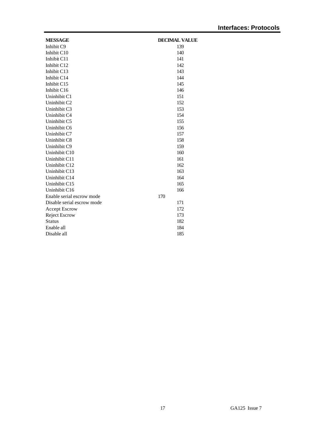| <b>MESSAGE</b>             | <b>DECIMAL VALUE</b> |
|----------------------------|----------------------|
| Inhibit C9                 | 139                  |
| Inhibit C10                | 140                  |
| Inhibit C11                | 141                  |
| Inhibit C12                | 142                  |
| Inhibit C13                | 143                  |
| Inhibit C14                | 144                  |
| Inhibit C15                | 145                  |
| Inhibit C16                | 146                  |
| Uninhibit C1               | 151                  |
| Uninhibit C <sub>2</sub>   | 152                  |
| Uninhibit C3               | 153                  |
| Uninhibit C4               | 154                  |
| Uninhibit C5               | 155                  |
| Uninhibit C6               | 156                  |
| Uninhibit C7               | 157                  |
| Uninhibit C8               | 158                  |
| Uninhibit C9               | 159                  |
| Uninhibit C10              | 160                  |
| Uninhibit C11              | 161                  |
| Uninhibit C12              | 162                  |
| Uninhibit C13              | 163                  |
| Uninhibit C14              | 164                  |
| Uninhibit C15              | 165                  |
| Uninhibit C16              | 166                  |
| Enable serial escrow mode  | 170                  |
| Disable serial escrow mode | 171                  |
| <b>Accept Escrow</b>       | 172                  |
| <b>Reject Escrow</b>       | 173                  |
| <b>Status</b>              | 182                  |
| Enable all                 | 184                  |
| Disable all                | 185                  |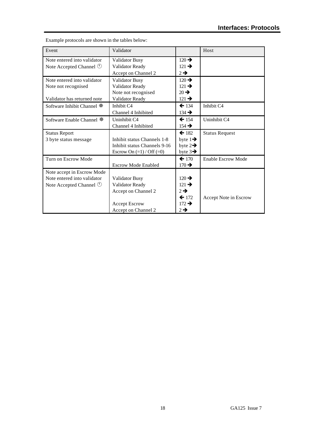| Event                                | Validator                     |                     | Host                      |
|--------------------------------------|-------------------------------|---------------------|---------------------------|
| Note entered into validator          | <b>Validator Busy</b>         | $120 \rightarrow$   |                           |
| Note Accepted Channel $\circledcirc$ | Validator Ready               | $121 \rightarrow$   |                           |
|                                      | Accept on Channel 2           | $2 \rightarrow$     |                           |
| Note entered into validator          | <b>Validator Busy</b>         | $120 \rightarrow$   |                           |
| Note not recognised                  | Validator Ready               | $121 \rightarrow$   |                           |
|                                      | Note not recognised           | $20 \rightarrow$    |                           |
| Validator has returned note          | Validator Ready               | $121 \rightarrow$   |                           |
| Software Inhibit Channel ※           | Inhibit C4                    | $\leftarrow$ 134    | Inhibit C4                |
|                                      | Channel 4 Inhibited           | $134 \rightarrow$   |                           |
| Software Enable Channel ※            | Uninhibit C4                  | $\leftarrow$ 154    | Uninhibit C4              |
|                                      | Channel 4 Inhibited           | $154 \rightarrow$   |                           |
| <b>Status Report</b>                 |                               | $\leftarrow$ 182    | <b>Status Request</b>     |
| 3 byte status message                | Inhibit status Channels 1-8   | byte $1\rightarrow$ |                           |
|                                      | Inhibit status Channels 9-16  | byte $2\rightarrow$ |                           |
|                                      | Escrow On $(=1)$ / Off $(=0)$ | byte $3\rightarrow$ |                           |
| Turn on Escrow Mode                  |                               | $\leftarrow$ 170    | <b>Enable Escrow Mode</b> |
|                                      | <b>Escrow Mode Enabled</b>    | $170 \rightarrow$   |                           |
| Note accept in Escrow Mode           |                               |                     |                           |
| Note entered into validator          | <b>Validator Busy</b>         | $120 \rightarrow$   |                           |
| Note Accepted Channel $\circledcirc$ | Validator Ready               | $121 \rightarrow$   |                           |
|                                      | Accept on Channel 2           | $2 \rightarrow$     |                           |
|                                      |                               | $\leftarrow$ 172    | Accept Note in Escrow     |
|                                      | <b>Accept Escrow</b>          | $172 \rightarrow$   |                           |
|                                      | Accept on Channel 2           | $2 \rightarrow$     |                           |

Example protocols are shown in the tables below: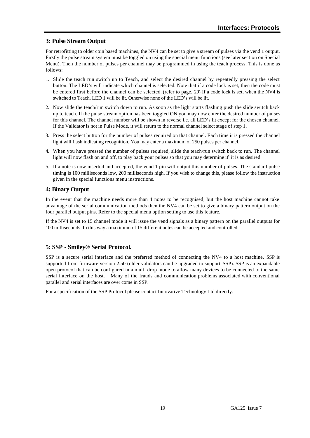# **3: Pulse Stream Output**

For retrofitting to older coin based machines, the NV4 can be set to give a stream of pulses via the vend 1 output. Firstly the pulse stream system must be toggled on using the special menu functions (see later section on Special Menu). Then the number of pulses per channel may be programmed in using the teach process. This is done as follows:

- 1. Slide the teach run switch up to Teach, and select the desired channel by repeatedly pressing the select button. The LED's will indicate which channel is selected. Note that if a code lock is set, then the code must be entered first before the channel can be selected. (refer to page. 29) If a code lock is set, when the NV4 is switched to Teach, LED 1 will be lit. Otherwise none of the LED's will be lit.
- 2. Now slide the teach/run switch down to run. As soon as the light starts flashing push the slide switch back up to teach. If the pulse stream option has been toggled ON you may now enter the desired number of pulses for this channel. The channel number will be shown in reverse i.e. all LED's lit except for the chosen channel. If the Validator is not in Pulse Mode, it will return to the normal channel select stage of step 1.
- 3. Press the select button for the number of pulses required on that channel. Each time it is pressed the channel light will flash indicating recognition. You may enter a maximum of 250 pulses per channel.
- 4. When you have pressed the number of pulses required, slide the teach/run switch back to run. The channel light will now flash on and off, to play back your pulses so that you may determine if it is as desired.
- 5. If a note is now inserted and accepted, the vend 1 pin will output this number of pulses. The standard pulse timing is 100 milliseconds low, 200 milliseconds high. If you wish to change this, please follow the instruction given in the special functions menu instructions.

# **4: Binary Output**

In the event that the machine needs more than 4 notes to be recognised, but the host machine cannot take advantage of the serial communication methods then the NV4 can be set to give a binary pattern output on the four parallel output pins. Refer to the special menu option setting to use this feature.

If the NV4 is set to 15 channel mode it will issue the vend signals as a binary pattern on the parallel outputs for 100 milliseconds. In this way a maximum of 15 different notes can be accepted and controlled.

# **5: SSP - Smiley® Serial Protocol.**

SSP is a secure serial interface and the preferred method of connecting the NV4 to a host machine. SSP is supported from firmware version 2.50 (older validators can be upgraded to support SSP). SSP is an expandable open protocol that can be configured in a multi drop mode to allow many devices to be connected to the same serial interface on the host. Many of the frauds and communication problems associated with conventional parallel and serial interfaces are over come in SSP.

For a specification of the SSP Protocol please contact Innovative Technology Ltd directly.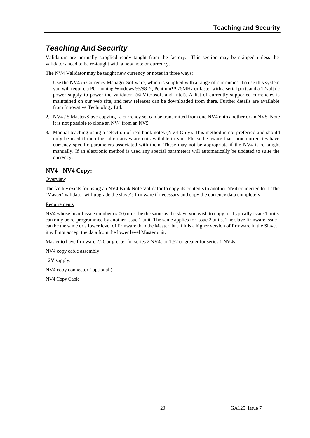# *Teaching And Security*

Validators are normally supplied ready taught from the factory. This section may be skipped unless the validators need to be re-taught with a new note or currency.

The NV4 Validator may be taught new currency or notes in three ways:

- 1. Use the NV4 /5 Currency Manager Software, which is supplied with a range of currencies. To use this system you will require a PC running Windows 95/98™, Pentium™ 75MHz or faster with a serial port, and a 12volt dc power supply to power the validator. (© Microsoft and Intel). A list of currently supported currencies is maintained on our web site, and new releases can be downloaded from there. Further details are available from Innovative Technology Ltd.
- 2. NV4 / 5 Master/Slave copying a currency set can be transmitted from one NV4 onto another or an NV5. Note it is not possible to clone an NV4 from an NV5.
- 3. Manual teaching using a selection of real bank notes (NV4 Only). This method is not preferred and should only be used if the other alternatives are not available to you. Please be aware that some currencies have currency specific parameters associated with them. These may not be appropriate if the NV4 is re-taught manually. If an electronic method is used any special parameters will automatically be updated to suite the currency.

# **NV4 - NV4 Copy:**

#### **Overview**

The facility exists for using an NV4 Bank Note Validator to copy its contents to another NV4 connected to it. The 'Master' validator will upgrade the slave's firmware if necessary and copy the currency data completely.

#### Requirements

NV4 whose board issue number (x.00) must be the same as the slave you wish to copy to. Typically issue 1 units can only be re-programmed by another issue 1 unit. The same applies for issue 2 units. The slave firmware issue can be the same or a lower level of firmware than the Master, but if it is a higher version of firmware in the Slave, it will not accept the data from the lower level Master unit.

Master to have firmware 2.20 or greater for series 2 NV4s or 1.52 or greater for series 1 NV4s.

NV4 copy cable assembly.

12V supply.

NV4 copy connector ( optional )

NV4 Copy Cable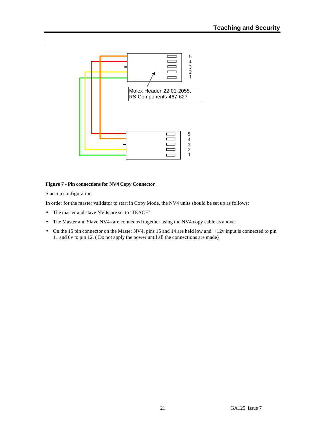

#### **Figure 7 - Pin connections for NV4 Copy Connector**

#### Start-up configuration

In order for the master validator to start in Copy Mode, the NV4 units should be set up as follows:

- The master and slave NV4s are set to 'TEACH'
- The Master and Slave NV4s are connected together using the NV4 copy cable as above.
- On the 15 pin connector on the Master NV4, pins 15 and 14 are held low and  $+12v$  input is connected to pin 11 and 0v to pin 12. ( Do not apply the power until all the connections are made)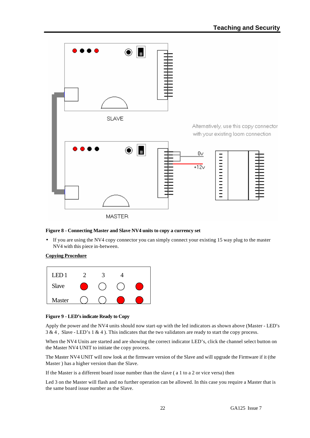

### **Figure 8 - Connecting Master and Slave NV4 units to copy a currency set**

• If you are using the NV4 copy connector you can simply connect your existing 15 way plug to the master NV4 with this piece in-between.

#### **Copying Procedure**



#### **Figure 9 - LED's indicate Ready to Copy**

Apply the power and the NV4 units should now start-up with the led indicators as shown above (Master - LED's 3 & 4 , Slave - LED's 1 & 4 ). This indicates that the two validators are ready to start the copy process.

When the NV4 Units are started and are showing the correct indicator LED's, click the channel select button on the Master NV4 UNIT to initiate the copy process.

The Master NV4 UNIT will now look at the firmware version of the Slave and will upgrade the Firmware if it (the Master ) has a higher version than the Slave.

If the Master is a different board issue number than the slave ( a 1 to a 2 or vice versa) then

Led 3 on the Master will flash and no further operation can be allowed. In this case you require a Master that is the same board issue number as the Slave.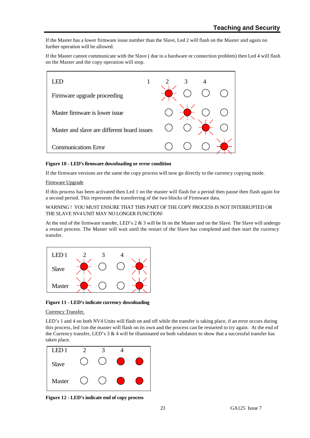If the Master has a lower firmware issue number than the Slave, Led 2 will flash on the Master and again no further operation will be allowed.

If the Master cannot communicate with the Slave ( due to a hardware or connection problem) then Led 4 will flash on the Master and the copy operation will stop.



#### **Figure 10 - LED's firmware downloading or error condition**

If the firmware versions are the same the copy process will now go directly to the currency copying mode.

#### Firmware Upgrade

If this process has been activated then Led 1 on the master will flash for a period then pause then flash again for a second period. This represents the transferring of the two blocks of Firmware data.

#### WARNING ! YOU MUST ENSURE THAT THIS PART OF THE COPY PROCESS IS NOT INTERRUPTED OR THE SLAVE NV4 UNIT MAY NO LONGER FUNCTION!

At the end of the firmware transfer, LED's 2 & 3 will be lit on the Master and on the Slave. The Slave will undergo a restart process. The Master will wait until the restart of the Slave has completed and then start the currency transfer.



**Figure 11 - LED's indicate currency downloading**

#### Currency Transfer.

LED's 1 and 4 on both NV4 Units will flash on and off while the transfer is taking place, if an error occurs during this process, led 1on the master will flash on its own and the process can be restarted to try again. At the end of the Currency transfer, LED's  $3 \& 4$  will be illuminated on both validators to show that a successful transfer has taken place.



**Figure 12 - LED's indicate end of copy process**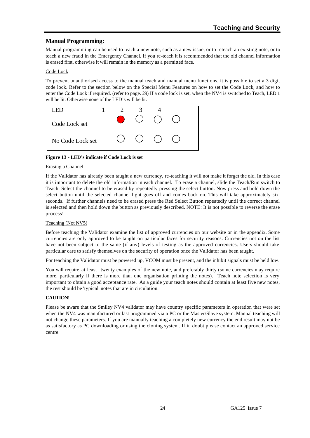# **Manual Programming:**

Manual programming can be used to teach a new note, such as a new issue, or to reteach an existing note, or to teach a new fraud in the Emergency Channel. If you re-teach it is recommended that the old channel information is erased first, otherwise it will remain in the memory as a permitted face.

### Code Lock

To prevent unauthorised access to the manual teach and manual menu functions, it is possible to set a 3 digit code lock. Refer to the section below on the Special Menu Features on how to set the Code Lock, and how to enter the Code Lock if required. (refer to page. 29) If a code lock is set, when the NV4 is switched to Teach, LED 1 will be lit. Otherwise none of the LED's will be lit.



#### **Figure 13 - LED's indicate if Code Lock is set**

#### Erasing a Channel

If the Validator has already been taught a new currency, re-teaching it will not make it forget the old. In this case it is important to delete the old information in each channel. To erase a channel, slide the Teach/Run switch to Teach. Select the channel to be erased by repeatedly pressing the select button. Now press and hold down the select button until the selected channel light goes off and comes back on. This will take approximately six seconds. If further channels need to be erased press the Red Select Button repeatedly until the correct channel is selected and then hold down the button as previously described. NOTE: It is not possible to reverse the erase process!

#### Teaching (Not NV5)

Before teaching the Validator examine the list of approved currencies on our website or in the appendix. Some currencies are only approved to be taught on particular faces for security reasons. Currencies not on the list have not been subject to the same (if any) levels of testing as the approved currencies. Users should take particular care to satisfy themselves on the security of operation once the Validator has been taught.

For teaching the Validator must be powered up, VCOM must be present, and the inhibit signals must be held low.

You will require at least twenty examples of the new note, and preferably thirty (some currencies may require more, particularly if there is more than one organisation printing the notes). Teach note selection is very important to obtain a good acceptance rate. As a guide your teach notes should contain at least five new notes, the rest should be 'typical' notes that are in circulation.

#### **CAUTION!**

Please be aware that the Smiley NV4 validator may have country specific parameters in operation that were set when the NV4 was manufactured or last programmed via a PC or the Master/Slave system. Manual teaching will not change these parameters. If you are manually teaching a completely new currency the end result may not be as satisfactory as PC downloading or using the cloning system. If in doubt please contact an approved service centre.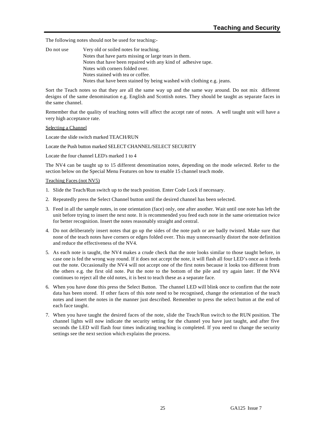The following notes should not be used for teaching:-

| Do not use | Very old or soiled notes for teaching.                                 |
|------------|------------------------------------------------------------------------|
|            | Notes that have parts missing or large tears in them.                  |
|            | Notes that have been repaired with any kind of adhesive tape.          |
|            | Notes with corners folded over.                                        |
|            | Notes stained with tea or coffee.                                      |
|            | Notes that have been stained by being washed with clothing e.g. jeans. |

Sort the Teach notes so that they are all the same way up and the same way around. Do not mix different designs of the same denomination e.g. English and Scottish notes. They should be taught as separate faces in the same channel.

Remember that the quality of teaching notes will affect the accept rate of notes. A well taught unit will have a very high acceptance rate.

#### Selecting a Channel

Locate the slide switch marked TEACH/RUN

Locate the Push button marked SELECT CHANNEL/SELECT SECURITY

Locate the four channel LED's marked 1 to 4

The NV4 can be taught up to 15 different denomination notes, depending on the mode selected. Refer to the section below on the Special Menu Features on how to enable 15 channel teach mode.

#### Teaching Faces (not NV5)

- 1. Slide the Teach/Run switch up to the teach position. Enter Code Lock if necessary.
- 2. Repeatedly press the Select Channel button until the desired channel has been selected.
- 3. Feed in all the sample notes, in one orientation (face) only, one after another. Wait until one note has left the unit before trying to insert the next note. It is recommended you feed each note in the same orientation twice for better recognition. Insert the notes reasonably straight and central.
- 4. Do not deliberately insert notes that go up the sides of the note path or are badly twisted. Make sure that none of the teach notes have corners or edges folded over. This may unnecessarily distort the note definition and reduce the effectiveness of the NV4.
- 5. As each note is taught, the NV4 makes a crude check that the note looks similar to those taught before, in case one is fed the wrong way round. If it does not accept the note, it will flash all four LED's once as it feeds out the note. Occasionally the NV4 will not accept one of the first notes because it looks too different from the others e.g. the first old note. Put the note to the bottom of the pile and try again later. If the NV4 continues to reject all the old notes, it is best to teach these as a separate face.
- 6. When you have done this press the Select Button. The channel LED will blink once to confirm that the note data has been stored. If other faces of this note need to be recognised, change the orientation of the teach notes and insert the notes in the manner just described. Remember to press the select button at the end of each face taught.
- 7. When you have taught the desired faces of the note, slide the Teach/Run switch to the RUN position. The channel lights will now indicate the security setting for the channel you have just taught, and after five seconds the LED will flash four times indicating teaching is completed. If you need to change the security settings see the next section which explains the process.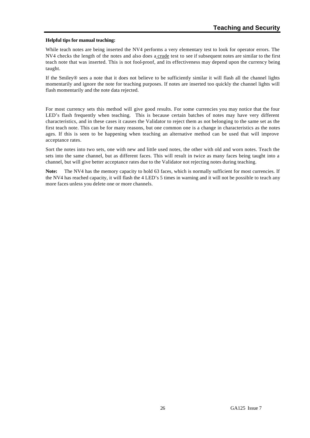#### **Helpful tips for manual teaching:**

While teach notes are being inserted the NV4 performs a very elementary test to look for operator errors. The NV4 checks the length of the notes and also does a crude test to see if subsequent notes are similar to the first teach note that was inserted. This is not fool-proof, and its effectiveness may depend upon the currency being taught.

If the Smiley® sees a note that it does not believe to be sufficiently similar it will flash all the channel lights momentarily and ignore the note for teaching purposes. If notes are inserted too quickly the channel lights will flash momentarily and the note data rejected.

For most currency sets this method will give good results. For some currencies you may notice that the four LED's flash frequently when teaching. This is because certain batches of notes may have very different characteristics, and in these cases it causes the Validator to reject them as not belonging to the same set as the first teach note. This can be for many reasons, but one common one is a change in characteristics as the notes ages. If this is seen to be happening when teaching an alternative method can be used that will improve acceptance rates.

Sort the notes into two sets, one with new and little used notes, the other with old and worn notes. Teach the sets into the same channel, but as different faces. This will result in twice as many faces being taught into a channel, but will give better acceptance rates due to the Validator not rejecting notes during teaching.

Note: The NV4 has the memory capacity to hold 63 faces, which is normally sufficient for most currencies. If the NV4 has reached capacity, it will flash the 4 LED's 5 times in warning and it will not be possible to teach any more faces unless you delete one or more channels.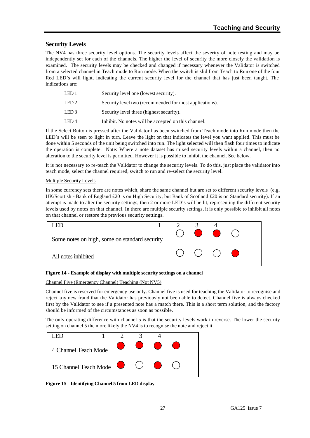# **Security Levels**

The NV4 has three security level options. The security levels affect the severity of note testing and may be independently set for each of the channels. The higher the level of security the more closely the validation is examined. The security levels may be checked and changed if necessary whenever the Validator is switched from a selected channel in Teach mode to Run mode. When the switch is slid from Teach to Run one of the four Red LED's will light, indicating the current security level for the channel that has just been taught. The indications are:

| LED 1 | Security level one (lowest security).                   |
|-------|---------------------------------------------------------|
| LED 2 | Security level two (recommended for most applications). |
| LED 3 | Security level three (highest security).                |
| LED4  | Inhibit. No notes will be accepted on this channel.     |
|       |                                                         |

If the Select Button is pressed after the Validator has been switched from Teach mode into Run mode then the LED's will be seen to light in turn. Leave the light on that indicates the level you want applied. This must be done within 5 seconds of the unit being switched into run. The light selected will then flash four times to indicate the operation is complete. Note: Where a note dataset has mixed security levels within a channel, then no alteration to the security level is permitted. However it is possible to inhibit the channel. See below.

It is not necessary to re-teach the Validator to change the security levels. To do this, just place the validator into teach mode, select the channel required, switch to run and re-select the security level.

### Multiple Security Levels

In some currency sets there are notes which, share the same channel but are set to different security levels (e.g. UK/Scottish - Bank of England £20 is on High Security, but Bank of Scotland £20 is on Standard security). If an attempt is made to alter the security settings, then 2 or more LED's will be lit, representing the different security levels used by notes on that channel. In there are multiple security settings, it is only possible to inhibit all notes on that channel or restore the previous security settings.



**Figure 14 - Example of display with multiple security settings on a channel**

Channel Five (Emergency Channel) Teaching (Not NV5)

Channel five is reserved for emergency use only. Channel five is used for teaching the Validator to recognise and reject any new fraud that the Validator has previously not been able to detect. Channel five is always checked first by the Validator to see if a presented note has a match there. This is a short term solution, and the factory should be informed of the circumstances as soon as possible.

The only operating difference with channel 5 is that the security levels work in reverse. The lower the security setting on channel 5 the more likely the NV4 is to recognise the note and reject it.



**Figure 15 - Identifying Channel 5 from LED display**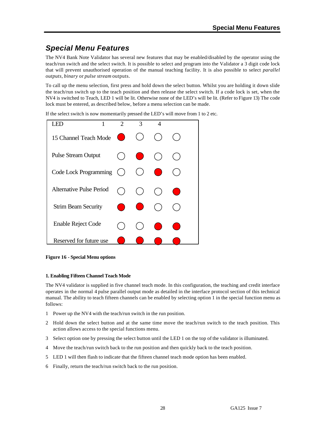# *Special Menu Features*

The NV4 Bank Note Validator has several new features that may be enabled/disabled by the operator using the teach/run switch and the select switch. It is possible to select and program into the Validator a 3 digit code lock that will prevent unauthorised operation of the manual teaching facility. It is also possible to select *parallel outputs*, *binary* or *pulse stream* outputs.

To call up the menu selection, first press and hold down the select button. Whilst you are holding it down slide the teach/run switch up to the teach position and then release the select switch. If a code lock is set, when the NV4 is switched to Teach, LED 1 will be lit. Otherwise none of the LED's will be lit. (Refer to Figure 13) The code lock must be entered, as described below, before a menu selection can be made.

If the select switch is now momentarily pressed the LED's will move from 1 to 2 etc.



**Figure 16 - Special Menu options**

### **1. Enabling Fifteen Channel Teach Mode**

The NV4 validator is supplied in five channel teach mode. In this configuration, the teaching and credit interface operates in the normal 4 pulse parallel output mode as detailed in the interface protocol section of this technical manual. The ability to teach fifteen channels can be enabled by selecting option 1 in the special function menu as follows:

- 1 Power up the NV4 with the teach/run switch in the run position.
- 2 Hold down the select button and at the same time move the teach/run switch to the teach position. This action allows access to the special functions menu.
- 3 Select option one by pressing the select button until the LED 1 on the top of the validator is illuminated.
- 4 Move the teach/run switch back to the run position and then quickly back to the teach position.
- 5 LED 1 will then flash to indicate that the fifteen channel teach mode option has been enabled.
- 6 Finally, return the teach/run switch back to the run position.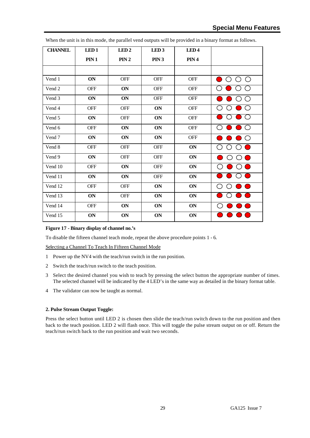| <b>CHANNEL</b> | LED <sub>1</sub> | LED <sub>2</sub> | LED <sub>3</sub> | LED <sub>4</sub> |                                                       |
|----------------|------------------|------------------|------------------|------------------|-------------------------------------------------------|
|                | PIN 1            | PIN 2            | PIN <sub>3</sub> | PIN 4            |                                                       |
|                |                  |                  |                  |                  |                                                       |
| Vend 1         | ON               | <b>OFF</b>       | <b>OFF</b>       | <b>OFF</b>       | $\bigcirc$<br>◯<br>$(\ )$                             |
| Vend 2         | <b>OFF</b>       | ON               | <b>OFF</b>       | <b>OFF</b>       |                                                       |
| Vend 3         | ON               | ON               | <b>OFF</b>       | <b>OFF</b>       | $\left(\begin{array}{c} \end{array}\right)$<br>$\Box$ |
| Vend 4         | <b>OFF</b>       | <b>OFF</b>       | ON               | <b>OFF</b>       |                                                       |
| Vend 5         | ON               | <b>OFF</b>       | ON               | <b>OFF</b>       |                                                       |
| Vend 6         | <b>OFF</b>       | ON               | ON               | OFF              | $\bigcirc$                                            |
| Vend 7         | ON               | ON               | ON               | OFF              | $\bigcirc$<br>u.                                      |
| Vend 8         | <b>OFF</b>       | <b>OFF</b>       | OFF              | ON               | $(\ )$<br>( )                                         |
| Vend 9         | ON               | <b>OFF</b>       | <b>OFF</b>       | ON               | ◯                                                     |
| Vend 10        | <b>OFF</b>       | ON               | <b>OFF</b>       | ON               |                                                       |
| Vend 11        | ON               | ON               | <b>OFF</b>       | ON               |                                                       |
| Vend 12        | <b>OFF</b>       | OFF              | ON               | ON               |                                                       |
| Vend 13        | ON               | <b>OFF</b>       | ON               | ON               |                                                       |
| Vend 14        | <b>OFF</b>       | ON               | ON               | ON               | DO                                                    |
| Vend 15        | ON               | ON               | ON               | ON               |                                                       |

When the unit is in this mode, the parallel vend outputs will be provided in a binary format as follows.

#### **Figure 17 - Binary display of channel no.'s**

To disable the fifteen channel teach mode, repeat the above procedure points 1 - 6.

Selecting a Channel To Teach In Fifteen Channel Mode

- 1 Power up the NV4 with the teach/run switch in the run position.
- 2 Switch the teach/run switch to the teach position.
- 3 Select the desired channel you wish to teach by pressing the select button the appropriate number of times. The selected channel will be indicated by the 4 LED's in the same way as detailed in the binary format table.
- 4 The validator can now be taught as normal.

### **2. Pulse Stream Output Toggle:**

Press the select button until LED 2 is chosen then slide the teach/run switch down to the run position and then back to the teach position. LED 2 will flash once. This will toggle the pulse stream output on or off. Return the teach/run switch back to the run position and wait two seconds.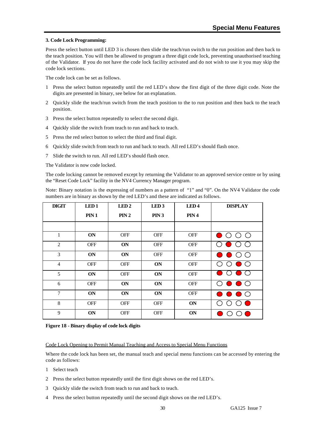#### **3. Code Lock Programming:**

Press the select button until LED 3 is chosen then slide the teach/run switch to the run position and then back to the teach position. You will then be allowed to program a three digit code lock, preventing unauthorised teaching of the Validator. If you do not have the code lock facility activated and do not wish to use it you may skip the code lock sections.

The code lock can be set as follows.

- 1 Press the select button repeatedly until the red LED's show the first digit of the three digit code. Note the digits are presented in binary, see below for an explanation.
- 2 Quickly slide the teach/run switch from the teach position to the to run position and then back to the teach position.
- 3 Press the select button repeatedly to select the second digit.
- 4 Quickly slide the switch from teach to run and back to teach.
- 5 Press the red select button to select the third and final digit.
- 6 Quickly slide switch from teach to run and back to teach. All red LED's should flash once.
- 7 Slide the switch to run. All red LED's should flash once.

The Validator is now code locked.

The code locking cannot be removed except by returning the Validator to an approved service centre or by using the "Reset Code Lock" facility in the NV4 Currency Manager program.

Note: Binary notation is the expressing of numbers as a pattern of "1" and "0". On the NV4 Validator the code numbers are in binary as shown by the red LED's and these are indicated as follows.

| <b>DIGIT</b>   | LED <sub>1</sub> | LED <sub>2</sub> | LED <sub>3</sub> | LED <sub>4</sub> | <b>DISPLAY</b>                               |
|----------------|------------------|------------------|------------------|------------------|----------------------------------------------|
|                | PIN 1            | PIN 2            | PIN3             | PIN 4            |                                              |
|                |                  |                  |                  |                  |                                              |
| 1              | ON               | <b>OFF</b>       | <b>OFF</b>       | <b>OFF</b>       | ( )                                          |
| 2              | <b>OFF</b>       | ON               | <b>OFF</b>       | <b>OFF</b>       |                                              |
| 3              | <b>ON</b>        | ON               | <b>OFF</b>       | <b>OFF</b>       | ( )                                          |
| $\overline{4}$ | <b>OFF</b>       | <b>OFF</b>       | ON               | <b>OFF</b>       | ( )                                          |
| 5              | ON               | <b>OFF</b>       | ON               | <b>OFF</b>       |                                              |
| 6              | <b>OFF</b>       | ON               | ON               | <b>OFF</b>       | ( )                                          |
| $\tau$         | ON               | ON               | ON               | <b>OFF</b>       | $\bigcirc$                                   |
| 8              | <b>OFF</b>       | <b>OFF</b>       | <b>OFF</b>       | ON               | a sa salah sahiji désa di kacamatan Sulawesi |
| 9              | ON               | <b>OFF</b>       | <b>OFF</b>       | ON               |                                              |

#### **Figure 18 - Binary display of code lock digits**

#### Code Lock Opening to Permit Manual Teaching and Access to Special Menu Functions

Where the code lock has been set, the manual teach and special menu functions can be accessed by entering the code as follows:

- 1 Select teach
- 2 Press the select button repeatedly until the first digit shows on the red LED's.
- 3 Quickly slide the switch from teach to run and back to teach.
- 4 Press the select button repeatedly until the second digit shows on the red LED's.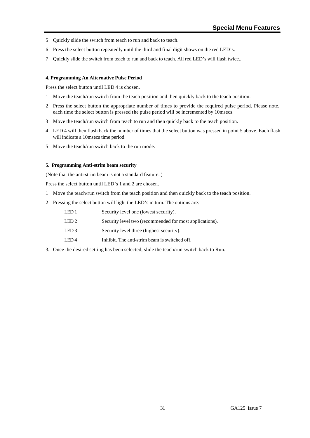- 5 Quickly slide the switch from teach to run and back to teach.
- 6 Press the select button repeatedly until the third and final digit shows on the red LED's.
- 7 Quickly slide the switch from teach to run and back to teach. All red LED's will flash twice..

#### **4. Programming An Alternative Pulse Period**

Press the select button until LED 4 is chosen.

- 1 Move the teach/run switch from the teach position and then quickly back to the teach position.
- 2 Press the select button the appropriate number of times to provide the required pulse period. Please note, each time the select button is pressed the pulse period will be incremented by 10msecs.
- 3 Move the teach/run switch from teach to run and then quickly back to the teach position.
- 4 LED 4 will then flash back the number of times that the select button was pressed in point 5 above. Each flash will indicate a 10msecs time period.
- 5 Move the teach/run switch back to the run mode.

#### **5. Programming Anti-strim beam security**

(Note that the anti-strim beam is not a standard feature. )

Press the select button until LED's 1 and 2 are chosen.

- 1 Move the teach/run switch from the teach position and then quickly back to the teach position.
- 2 Pressing the select button will light the LED's in turn. The options are:

| LED 1  | Security level one (lowest security).                   |
|--------|---------------------------------------------------------|
| LED 2  | Security level two (recommended for most applications). |
| LED 3  | Security level three (highest security).                |
| I ED 4 | Inhibit. The anti-strim beam is switched off.           |

3. Once the desired setting has been selected, slide the teach/run switch back to Run.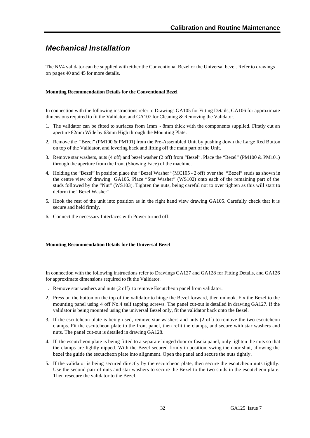# *Mechanical Installation*

The NV4 validator can be supplied with either the Conventional Bezel or the Universal bezel. Refer to drawings on pages 40 and 45 for more details.

#### **Mounting Recommendation Details for the Conventional Bezel**

In connection with the following instructions refer to Drawings GA105 for Fitting Details, GA106 for approximate dimensions required to fit the Validator, and GA107 for Cleaning & Removing the Validator.

- 1. The validator can be fitted to surfaces from 1mm 8mm thick with the components supplied. Firstly cut an aperture 82mm Wide by 63mm High through the Mounting Plate.
- 2. Remove the "Bezel" (PM100 & PM101) from the Pre-Assembled Unit by pushing down the Large Red Button on top of the Validator, and levering back and lifting off the main part of the Unit.
- 3. Remove star washers, nuts (4 off) and bezel washer (2 off) from "Bezel". Place the "Bezel" (PM100 & PM101) through the aperture from the front (Showing Face) of the machine.
- 4. Holding the "Bezel" in position place the "Bezel Washer "(MC105 2 off) over the "Bezel" studs as shown in the centre view of drawing GA105. Place "Star Washer" (WS102) onto each of the remaining part of the studs followed by the "Nut" (WS103). Tighten the nuts, being careful not to over tighten as this will start to deform the "Bezel Washer".
- 5. Hook the rest of the unit into position as in the right hand view drawing GA105. Carefully check that it is secure and held firmly.
- 6. Connect the necessary Interfaces with Power turned off.

#### **Mounting Recommendation Details for the Universal Bezel**

In connection with the following instructions refer to Drawings GA127 and GA128 for Fitting Details, and GA126 for approximate dimensions required to fit the Validator.

- 1. Remove star washers and nuts (2 off) to remove Escutcheon panel from validator.
- 2. Press on the button on the top of the validator to hinge the Bezel forward, then unhook. Fix the Bezel to the mounting panel using 4 off No.4 self tapping screws. The panel cut-out is detailed in drawing GA127. If the validator is being mounted using the universal Bezel only, fit the validator back onto the Bezel.
- 3. If the escutcheon plate is being used, remove star washers and nuts (2 off) to remove the two escutcheon clamps. Fit the escutcheon plate to the front panel, then refit the clamps, and secure with star washers and nuts. The panel cut-out is detailed in drawing GA128.
- 4. If the escutcheon plate is being fitted to a separate hinged door or fascia panel, only tighten the nuts so that the clamps are lightly nipped. With the Bezel secured firmly in position, swing the door shut, allowing the bezel the guide the escutcheon plate into alignment. Open the panel and secure the nuts tightly.
- 5. If the validator is being secured directly by the escutcheon plate, then secure the escutcheon nuts tightly. Use the second pair of nuts and star washers to secure the Bezel to the two studs in the escutcheon plate. Then resecure the validator to the Bezel.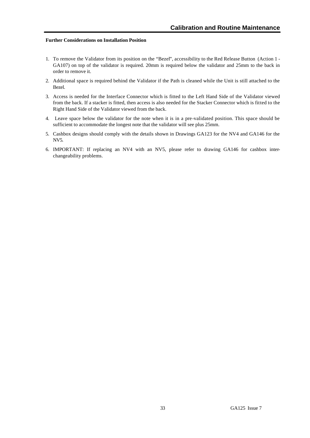#### **Further Considerations on Installation Position**

- 1. To remove the Validator from its position on the "Bezel", accessibility to the Red Release Button (Action 1 GA107) on top of the validator is required. 20mm is required below the validator and 25mm to the back in order to remove it.
- 2. Additional space is required behind the Validator if the Path is cleaned while the Unit is still attached to the Bezel.
- 3. Access is needed for the Interface Connector which is fitted to the Left Hand Side of the Validator viewed from the back. If a stacker is fitted, then access is also needed for the Stacker Connector which is fitted to the Right Hand Side of the Validator viewed from the back.
- 4. Leave space below the validator for the note when it is in a pre-validated position. This space should be sufficient to accommodate the longest note that the validator will see plus 25mm.
- 5. Cashbox designs should comply with the details shown in Drawings GA123 for the NV4 and GA146 for the NV5.
- 6. IMPORTANT: If replacing an NV4 with an NV5, please refer to drawing GA146 for cashbox interchangeability problems.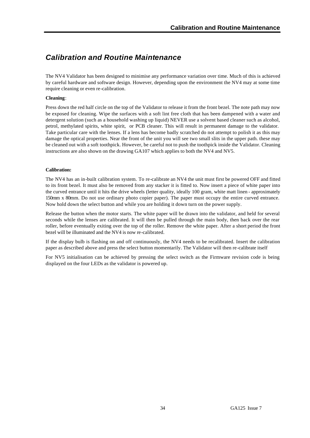# *Calibration and Routine Maintenance*

The NV4 Validator has been designed to minimise any performance variation over time. Much of this is achieved by careful hardware and software design. However, depending upon the environment the NV4 may at some time require cleaning or even re-calibration.

#### **Cleaning**:

Press down the red half circle on the top of the Validator to release it from the front bezel. The note path may now be exposed for cleaning. Wipe the surfaces with a soft lint free cloth that has been dampened with a water and detergent solution (such as a household washing up liquid) NEVER use a solvent based cleaner such as alcohol, petrol, methylated spirits, white spirit, or PCB cleaner. This will result in permanent damage to the validator. Take particular care with the lenses. If a lens has become badly scratched do not attempt to polish it as this may damage the optical properties. Near the front of the unit you will see two small slits in the upper path. these may be cleaned out with a soft toothpick. However, be careful not to push the toothpick inside the Validator. Cleaning instructions are also shown on the drawing GA107 which applies to both the NV4 and NV5.

#### **Calibration:**

The NV4 has an in-built calibration system. To re-calibrate an NV4 the unit must first be powered OFF and fitted to its front bezel. It must also be removed from any stacker it is fitted to. Now insert a piece of white paper into the curved entrance until it hits the drive wheels (letter quality, ideally 100 gram, white matt linen - approximately 150mm x 80mm. Do not use ordinary photo copier paper). The paper must occupy the entire curved entrance. Now hold down the select button and while you are holding it down turn on the power supply.

Release the button when the motor starts. The white paper will be drawn into the validator, and held for several seconds while the lenses are calibrated. It will then be pulled through the main body, then back over the rear roller, before eventually exiting over the top of the roller. Remove the white paper. After a short period the front bezel will be illuminated and the NV4 is now re-calibrated.

If the display bulb is flashing on and off continuously, the NV4 needs to be recalibrated. Insert the calibration paper as described above and press the select button momentarily. The Validator will then re-calibrate itself

For NV5 initialisation can be achieved by pressing the select switch as the Firmware revision code is being displayed on the four LEDs as the validator is powered up.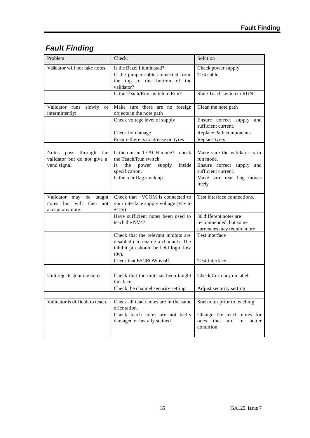# *Fault Finding*

| Problem                                                                   | Check:                                                                                                                                                      | Solution                                                                                                                              |  |
|---------------------------------------------------------------------------|-------------------------------------------------------------------------------------------------------------------------------------------------------------|---------------------------------------------------------------------------------------------------------------------------------------|--|
| Validator will not take notes:                                            | Is the Bezel Illuminated?                                                                                                                                   | Check power supply                                                                                                                    |  |
|                                                                           | Is the jumper cable connected from<br>the top to the bottom of the<br>validator?                                                                            | Test cable                                                                                                                            |  |
|                                                                           | Is the Teach/Run switch in Run?                                                                                                                             | Slide Teach switch to RUN                                                                                                             |  |
| Validator runs<br>slowly<br><sub>or</sub><br>intermittently:              | Make sure there are no foreign<br>objects in the note path                                                                                                  | Clean the note path                                                                                                                   |  |
|                                                                           | Check voltage level of supply                                                                                                                               | Ensure correct supply and<br>sufficient current.                                                                                      |  |
|                                                                           | Check for damage                                                                                                                                            | Replace Path components                                                                                                               |  |
|                                                                           | Ensure there is no grease on tyres                                                                                                                          | Replace tyres                                                                                                                         |  |
| pass through the<br>Notes<br>validator but do not give a<br>vend signal   | Is the unit in TEACH mode? - check<br>the Teach/Run switch<br>the<br>inside<br><b>Is</b><br>power<br>supply<br>specification.<br>Is the rear flag stuck up. | Make sure the validator is in<br>run mode.<br>Ensure correct supply and<br>sufficient current.<br>Make sure rear flag moves<br>freely |  |
| Validator may be taught<br>but will then not<br>notes<br>accept any note. | Check that $+VCOM$ is connected to<br>your interface supply voltage (+5v to<br>$+12v)$                                                                      | Test interface connections.                                                                                                           |  |
|                                                                           | Have sufficient notes been used to<br>teach the NV4?                                                                                                        | 30 different notes are<br>recommended, but some<br>currencies may require more                                                        |  |
|                                                                           | Check that the relevant inhibits are<br>disabled ( to enable a channel). The<br>inhibit pin should be held logic low<br>$(0v)$ .                            | Test interface                                                                                                                        |  |
|                                                                           | Check that ESCROW is off.                                                                                                                                   | <b>Test Interface</b>                                                                                                                 |  |
| Unit rejects genuine notes                                                | Check that the unit has been taught<br>this face.                                                                                                           | Check Currency on label                                                                                                               |  |
|                                                                           | Check the channel security setting                                                                                                                          | Adjust security setting                                                                                                               |  |
| Validator is difficult to teach.                                          | Check all teach notes are in the same<br>orientation.                                                                                                       | Sort notes prior to teaching                                                                                                          |  |
|                                                                           | Check teach notes are not badly<br>damaged or heavily stained                                                                                               | Change the teach notes for<br>ones that<br>are<br>in<br>better<br>condition.                                                          |  |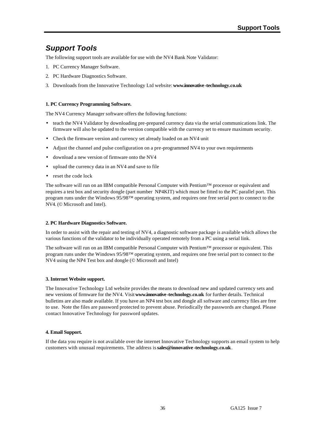# *Support Tools*

The following support tools are available for use with the NV4 Bank Note Validator:

- 1. PC Currency Manager Software.
- 2. PC Hardware Diagnostics Software.
- 3. Downloads from the Innovative Technology Ltd website: **www.innovative-technology.co.uk**

### **1. PC Currency Programming Software.**

The NV4 Currency Manager software offers the following functions:

- teach the NV4 Validator by downloading pre-prepared currency data via the serial communications link. The firmware will also be updated to the version compatible with the currency set to ensure maximum security.
- Check the firmware version and currency set already loaded on an NV4 unit
- Adjust the channel and pulse configuration on a pre-programmed NV4 to your own requirements
- download a new version of firmware onto the NV4
- upload the currency data in an NV4 and save to file
- reset the code lock

The software will run on an IBM compatible Personal Computer with Pentium™ processor or equivalent and requires a test box and security dongle (part number NP4KIT) which must be fitted to the PC parallel port. This program runs under the Windows 95/98™ operating system, and requires one free serial port to connect to the NV4. (© Microsoft and Intel).

### **2. PC Hardware Diagnostics Software.**

In order to assist with the repair and testing of NV4, a diagnostic software package is available which allows the various functions of the validator to be individually operated remotely from a PC using a serial link.

The software will run on an IBM compatible Personal Computer with Pentium™ processor or equivalent. This program runs under the Windows 95/98™ operating system, and requires one free serial port to connect to the NV4 using the NP4 Test box and dongle (© Microsoft and Intel)

### **3. Internet Website support.**

The Innovative Technology Ltd website provides the means to download new and updated currency sets and new versions of firmware for the NV4. Visit **www.innovative-technology.co.uk** for further details. Technical bulletins are also made available. If you have an NP4 test box and dongle all software and currency files are free to use. Note the files are password protected to prevent abuse. Periodically the passwords are changed. Please contact Innovative Technology for password updates.

### **4. Email Support.**

If the data you require is not available over the internet Innovative Technology supports an email system to help customers with unusual requirements. The address is **sales@innovative -technology.co.uk**.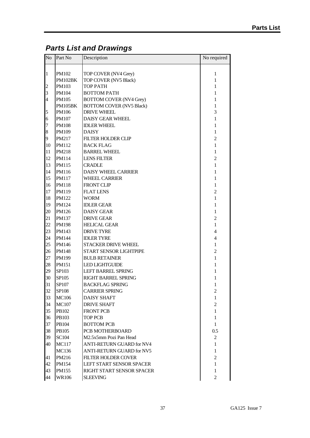# *Parts List and Drawings*

| No                  | Part No                 | Description                                                       | No required              |
|---------------------|-------------------------|-------------------------------------------------------------------|--------------------------|
|                     |                         |                                                                   |                          |
| $\mathbf{1}$        | PM102<br>PM102BK        | TOP COVER (NV4 Grey)<br>TOP COVER (NV5 Black)                     | 1<br>$\mathbf{1}$        |
|                     | PM103                   | <b>TOP PATH</b>                                                   | 1                        |
| $\overline{c}$<br>3 | PM104                   | <b>BOTTOM PATH</b>                                                | 1                        |
|                     |                         |                                                                   |                          |
| $\overline{4}$      | PM105<br><b>PM105BK</b> | <b>BOTTOM COVER (NV4 Grey)</b><br><b>BOTTOM COVER (NV5 Black)</b> | 1                        |
|                     | PM106                   | <b>DRIVE WHEEL</b>                                                | $\mathbf{1}$<br>3        |
| 5<br>6              | <b>PM107</b>            | <b>DAISY GEAR WHEEL</b>                                           | $\mathbf{1}$             |
|                     |                         |                                                                   |                          |
| $\overline{7}$      | <b>PM108</b>            | <b>IDLER WHEEL</b>                                                | 1                        |
| 8                   | PM109                   | <b>DAISY</b>                                                      | $\mathbf{1}$             |
| 9                   | PM217                   | <b>FILTER HOLDER CLIP</b>                                         | $\overline{c}$           |
| 10                  | PM112                   | <b>BACK FLAG</b>                                                  | $\mathbf{1}$             |
| 11                  | PM218                   | <b>BARREL WHEEL</b>                                               | $\mathbf{1}$             |
| 12                  | PM114                   | <b>LENS FILTER</b>                                                | $\overline{c}$           |
| 13                  | <b>PM115</b>            | <b>CRADLE</b>                                                     | $\mathbf{1}$             |
| 14                  | PM116                   | <b>DAISY WHEEL CARRIER</b>                                        | 1                        |
| 15                  | <b>PM117</b>            | <b>WHEEL CARRIER</b>                                              | 1                        |
| 16                  | <b>PM118</b>            | <b>FRONT CLIP</b>                                                 | $\mathbf{1}$             |
| 17                  | PM119                   | <b>FLAT LENS</b>                                                  | $\overline{c}$           |
| 18                  | PM122                   | <b>WORM</b>                                                       | $\mathbf{1}$             |
| 19                  | PM124                   | <b>IDLER GEAR</b>                                                 | 1                        |
| 20                  | PM126                   | <b>DAISY GEAR</b>                                                 | $\mathbf{1}$             |
| 21                  | <b>PM137</b>            | <b>DRIVE GEAR</b>                                                 | $\overline{c}$           |
| 22                  | <b>PM198</b>            | <b>HELICAL GEAR</b>                                               | $\mathbf{1}$             |
| 23                  | PM143                   | <b>DRIVE TYRE</b>                                                 | $\overline{4}$           |
| 24                  | PM144                   | <b>IDLER TYRE</b>                                                 | $\overline{\mathcal{L}}$ |
| 25                  | PM146                   | <b>STACKER DRIVE WHEEL</b>                                        | 1                        |
| 26                  | PM148                   | START SENSOR LIGHTPIPE                                            | $\overline{c}$           |
| 27                  | PM199                   | <b>BULB RETAINER</b>                                              | $\mathbf{1}$             |
| 28                  | PM151                   | <b>LED LIGHTGUIDE</b>                                             | $\mathbf{1}$             |
| 29                  | SP103                   | <b>LEFT BARREL SPRING</b>                                         | 1                        |
| 30                  | SP105                   | RIGHT BARREL SPRING                                               | 1                        |
| 31                  | SP107                   | <b>BACKFLAG SPRING</b>                                            | 1                        |
| 32                  | SP108                   | <b>CARRIER SPRING</b>                                             | $\mathfrak{2}$           |
| 33                  | <b>MC106</b>            | <b>DAISY SHAFT</b>                                                | 1                        |
| 34                  | <b>MC107</b>            | <b>DRIVE SHAFT</b>                                                | $\overline{2}$           |
| 35                  | PB102                   | <b>FRONT PCB</b>                                                  | $\mathbf{1}$             |
| 36                  | PB103                   | <b>TOP PCB</b>                                                    | $\mathbf{1}$             |
| 37                  | PB104                   | <b>BOTTOM PCB</b>                                                 | $\mathbf{1}$             |
| 38                  | PB105                   | PCB MOTHERBOARD                                                   | 0.5                      |
| 39                  | SC104                   | M2.5x5mm Pozi Pan Head                                            | $\overline{c}$           |
| 40                  | <b>MC117</b>            | <b>ANTI-RETURN GUARD for NV4</b>                                  | $\mathbf{1}$             |
|                     | MC136                   | ANTI-RETURN GUARD for NV5                                         | $\mathbf{1}$             |
| 41                  | PM216                   | <b>FILTER HOLDER COVER</b>                                        | $\overline{c}$           |
| 42                  | PM154                   | <b>LEFT START SENSOR SPACER</b>                                   | $\mathbf{1}$             |
| 43                  | PM155                   | RIGHT START SENSOR SPACER                                         | $\mathbf{1}$             |
| 44                  | <b>WR106</b>            | <b>SLEEVING</b>                                                   | $\overline{c}$           |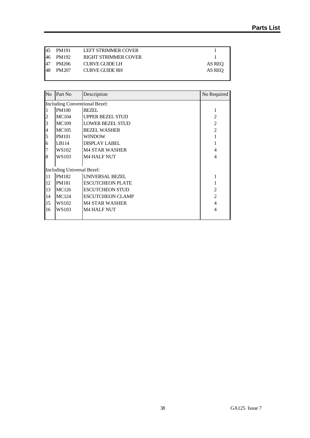| <b>45</b> | PM191  | LEFT STRIMMER COVER         |        |
|-----------|--------|-----------------------------|--------|
| 46        | PM192  | <b>RIGHT STRIMMER COVER</b> |        |
| 47        | PM206  | <b>CURVE GUIDE LH</b>       | AS REO |
| 48        | PM 207 | CURVE GUIDE RH              | AS REO |
|           |        |                             |        |

| $\rm No$ | Part No                              | Description             | No Required    |  |  |  |
|----------|--------------------------------------|-------------------------|----------------|--|--|--|
|          | <b>Including Conventional Bezel:</b> |                         |                |  |  |  |
|          | <b>PM100</b>                         | <b>BEZEL</b>            |                |  |  |  |
|          | <b>MC104</b>                         | <b>UPPER BEZEL STUD</b> | $\mathfrak{D}$ |  |  |  |
| 3        | <b>MC109</b>                         | <b>LOWER BEZEL STUD</b> | $\overline{c}$ |  |  |  |
| 4        | <b>MC105</b>                         | <b>BEZEL WASHER</b>     | $\mathfrak{D}$ |  |  |  |
| 5        | <b>PM101</b>                         | WINDOW                  |                |  |  |  |
| 6        | LB114                                | DISPLAY LABEL           |                |  |  |  |
| 7        | WS102                                | <b>M4 STAR WASHER</b>   |                |  |  |  |
| 8        | WS103                                | <b>M4 HALF NUT</b>      | 4              |  |  |  |
|          | <b>Including Universal Bezel:</b>    |                         |                |  |  |  |
| 11       | PM182                                | <b>UNIVERSAL BEZEL</b>  |                |  |  |  |
| 12       | <b>PM181</b>                         | <b>ESCUTCHEON PLATE</b> |                |  |  |  |
| 13       | MC126                                | <b>ESCUTCHEON STUD</b>  | $\mathfrak{D}$ |  |  |  |
| 14       | <b>MC124</b>                         | <b>ESCUTCHEON CLAMP</b> | $\mathfrak{D}$ |  |  |  |
| 15       | WS102                                | <b>M4 STAR WASHER</b>   | 4              |  |  |  |
| 16       | WS103                                | <b>M4 HALF NUT</b>      | 4              |  |  |  |
|          |                                      |                         |                |  |  |  |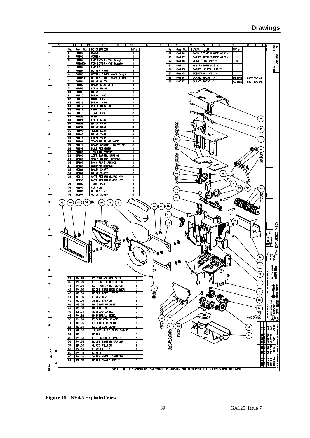|              | 5ľ                                                                                            |                   | 7T                           | 51<br>Dt<br>8<br>9<br>ε<br>s<br>ЕI<br>τt<br>6<br>5<br>t.<br>Ŀ<br>∦ 4                                                                                                                 |      |  |  |  |  |
|--------------|-----------------------------------------------------------------------------------------------|-------------------|------------------------------|--------------------------------------------------------------------------------------------------------------------------------------------------------------------------------------|------|--|--|--|--|
|              |                                                                                               | No.               | Part No.                     | DESCRIPTION<br>Ass No.<br>DESCRIPTION<br>lat' y<br>$p_{\mathbf{T}}$ $\mathbf{y}$<br>No.                                                                                              |      |  |  |  |  |
|              |                                                                                               |                   | <b>PN100</b><br><b>PN101</b> | <b>BEZEL</b><br>$\mathbf{1}$<br><b>PA106</b><br>BACK DRIVE SHAFT ASS'Y<br>62<br>1<br>VINJOH<br>T                                                                                     |      |  |  |  |  |
|              |                                                                                               | г<br>э            | <b>PN102</b>                 | GA122<br>PA107<br>DASIY GEAR SHAFT ASS'Y<br>63<br>$\mathbf{1}$<br>TOP COVER <nv4 grev=""><br/>1</nv4>                                                                                |      |  |  |  |  |
|              |                                                                                               |                   | <b>PN102BK</b>               | PA109<br>FLAT LENS ASS'Y<br>5<br>64<br>TOP COVER <nvs black=""><br/>1</nvs>                                                                                                          |      |  |  |  |  |
|              |                                                                                               | 4                 | <b>PN103</b>                 | <b>PA111</b><br>MOTOR/HORM ASS'Y<br>$\mathbf{1}$<br>65<br><b>TOP PATH</b><br>$\overline{\mathbf{1}}$                                                                                 |      |  |  |  |  |
|              |                                                                                               | ,                 | <b>PH104</b>                 | BARREL WHEEL ASS'Y<br>PA165<br>$\mathbf 1$<br>66<br><b>BOTTON PATH</b><br>$\overline{\mathbf{1}}$<br>PA155<br>$\mathbf{1}$                                                           |      |  |  |  |  |
|              |                                                                                               | 6                 | <b>PH105</b>                 | PCB/CABLE ASS'Y<br>67<br>BOTTON COVER <nv4 grey=""><br/><math>\mathbf{1}</math><br/><b>PN206</b><br/><b>CURVE GUIDE LH</b><br/>68<br/><b>BOTTON COVER <nv5 black=""></nv5></b></nv4> |      |  |  |  |  |
|              |                                                                                               | $\overline{\tau}$ | PN105BK<br><b>PH106</b>      | 1<br>837 ZA<br>( NOT SHOWN)<br>DRIVE WHEEL<br><b>PN207</b><br><b>CURVE GUIDE RH</b><br>उ<br>69<br>AS RER<br>(NOT SHOWN)                                                              |      |  |  |  |  |
|              |                                                                                               | 8                 | <b>PH107</b>                 | DASIY GEAR VHEEL<br>1                                                                                                                                                                |      |  |  |  |  |
|              |                                                                                               | ज़                | <b>PH108</b>                 | <b>IDLER WHEEL</b><br>ı                                                                                                                                                              |      |  |  |  |  |
|              |                                                                                               | ιa                | <b>FN109</b>                 | DAISY<br>$\overline{\mathbf{1}}$                                                                                                                                                     |      |  |  |  |  |
|              |                                                                                               | π<br>12           | <b>PN110</b><br><b>FN112</b> | BARREL END<br>$\overline{2}$<br><b>BACK FLAG</b><br>1                                                                                                                                |      |  |  |  |  |
|              |                                                                                               | I3                | <b>PN218</b>                 | BARREL HHEEL<br>$\overline{\mathbf{1}}$                                                                                                                                              |      |  |  |  |  |
|              |                                                                                               | 14                | <b>PN117</b>                 | <b>VHEEL CARRIER</b><br>$\mathbf{1}$                                                                                                                                                 |      |  |  |  |  |
|              |                                                                                               | ঢে                | <b>PN119</b>                 | <b>FRONT CLIP</b><br>T                                                                                                                                                               |      |  |  |  |  |
|              |                                                                                               | 76                | <b>PN119</b>                 | <b>FLAT LENS</b><br>2                                                                                                                                                                |      |  |  |  |  |
|              |                                                                                               | ᡎ<br>ख            | <b>PN122</b><br><b>FN124</b> | <b>VORK</b><br>T<br>$\,$ $\,$<br><b>TOLER GEAR</b><br>T                                                                                                                              |      |  |  |  |  |
|              |                                                                                               | प्र               | <b>FN126</b>                 | <b>DAISY GEAR</b><br>1                                                                                                                                                               |      |  |  |  |  |
|              |                                                                                               | ᇙ                 | <b>PN137</b>                 | 3608<br><b>DRIVE GEAR</b><br>$\overline{\mathbf{z}}$                                                                                                                                 |      |  |  |  |  |
|              |                                                                                               | ΞL                | <b>PH198</b>                 | 27<br><b>HELIX GEAR</b><br>ī                                                                                                                                                         |      |  |  |  |  |
| α            |                                                                                               | æ                 | <b>PH143</b>                 | <b>DRIVE TYRE</b><br>4                                                                                                                                                               |      |  |  |  |  |
|              |                                                                                               | 23<br>टर          | <b>PN144</b><br><b>PH146</b> | <b>LDLER TYRE</b><br>4<br>67<br>$\mathbf{15}$<br>STACKER DRIVE VHEEL<br>ד                                                                                                            |      |  |  |  |  |
|              |                                                                                               | ਨ                 | <b>PN148</b>                 | 0<br>START SENSOR LIGHTPIPE<br>ट                                                                                                                                                     |      |  |  |  |  |
|              |                                                                                               | 26                | <b>PN199</b>                 | <b>BULI RETAINER</b><br>$\overline{\mathbf{1}}$<br>$\pmb{64}$                                                                                                                        |      |  |  |  |  |
|              |                                                                                               | 27                | <b>PN151</b>                 | LED LIGHTBUIDE<br>$\mathbf{1}$                                                                                                                                                       |      |  |  |  |  |
|              |                                                                                               | 28<br>29          | SP103<br>SP105               | (2000)<br>8<br>LEFT BARREL SPRING<br>$\mathbf{1}$<br>RIGHT BARREL SPRING<br>$\mathbf{1}$                                                                                             |      |  |  |  |  |
|              |                                                                                               | 30                | SP107                        | BACK FLAG SPRING<br>1                                                                                                                                                                |      |  |  |  |  |
|              |                                                                                               | эι                | <b>SP100</b>                 | CARRIER SPRING<br>s                                                                                                                                                                  |      |  |  |  |  |
|              |                                                                                               | 32                | NC106                        | TRAHZ Y12AC<br>$\mathbf{1}$                                                                                                                                                          |      |  |  |  |  |
| □            |                                                                                               | 33                | NC107                        | <b>DRIVE SHAFT</b><br>S<br>31<br>63<br>$\mathbf{1}$                                                                                                                                  |      |  |  |  |  |
|              |                                                                                               | 34                | NC117<br>NC136               | ANTI RETURN GUARD NV4<br>$\mathbf{I}$<br>ANTI RETURN GLIARD NV5<br>1                                                                                                                 |      |  |  |  |  |
|              |                                                                                               | 25                | <b>PB102</b>                 | G<br>FRONT PCB<br>$\mathbf{1}$<br>$\overline{\phantom{a}}$                                                                                                                           |      |  |  |  |  |
| z            |                                                                                               | 36                | <b>PB103</b>                 | ,<br>30<br>TOP PCB<br>P3<br>$\epsilon$<br>ω<br>15                                                                                                                                    |      |  |  |  |  |
|              |                                                                                               | 37                | <b>PB104</b>                 | <b>BOTTON PCB</b><br>ı                                                                                                                                                               |      |  |  |  |  |
|              |                                                                                               | 38                | 30104                        | Ã<br>MOTOR SCREW<br>P.<br>26                                                                                                                                                         |      |  |  |  |  |
|              | 52                                                                                            | 46                | 50<br>$47\,$                 | O)<br>0<br>48<br>47                                                                                                                                                                  |      |  |  |  |  |
|              |                                                                                               |                   |                              | 28<br>46<br>47                                                                                                                                                                       |      |  |  |  |  |
|              |                                                                                               |                   |                              |                                                                                                                                                                                      |      |  |  |  |  |
|              |                                                                                               |                   |                              | 41                                                                                                                                                                                   |      |  |  |  |  |
|              |                                                                                               |                   |                              |                                                                                                                                                                                      |      |  |  |  |  |
|              |                                                                                               |                   |                              | 45<br>n<br>B                                                                                                                                                                         |      |  |  |  |  |
|              |                                                                                               |                   |                              |                                                                                                                                                                                      |      |  |  |  |  |
|              |                                                                                               | u                 |                              |                                                                                                                                                                                      |      |  |  |  |  |
|              |                                                                                               |                   | e                            | EXPLOOED VIEW                                                                                                                                                                        |      |  |  |  |  |
|              |                                                                                               |                   |                              |                                                                                                                                                                                      |      |  |  |  |  |
|              |                                                                                               |                   |                              |                                                                                                                                                                                      |      |  |  |  |  |
|              |                                                                                               |                   |                              |                                                                                                                                                                                      |      |  |  |  |  |
|              |                                                                                               |                   |                              | ž<br>$\frac{1}{2}$                                                                                                                                                                   |      |  |  |  |  |
|              |                                                                                               |                   |                              | 34                                                                                                                                                                                   |      |  |  |  |  |
|              |                                                                                               |                   |                              |                                                                                                                                                                                      |      |  |  |  |  |
|              |                                                                                               |                   |                              | E7                                                                                                                                                                                   |      |  |  |  |  |
|              |                                                                                               |                   |                              | <b>DEASEM</b><br>42<br>ğ                                                                                                                                                             |      |  |  |  |  |
|              |                                                                                               | 39                | PML 93                       | ₹₹<br>FILTER HOLDER CLIP<br>z                                                                                                                                                        |      |  |  |  |  |
|              |                                                                                               | 40                | <b>PML94</b>                 | <b>FILTER HOLDER COVER</b><br>S<br>$\blacktriangleleft$                                                                                                                              |      |  |  |  |  |
| o            |                                                                                               | 41                | PML91                        | <b>DE JN DOUBT</b><br>LEFT STRINNER COVER<br>1                                                                                                                                       |      |  |  |  |  |
|              |                                                                                               | 42                | PMI <sub>92</sub>            | ์<br>อิติ<br>RIGHT STRINMER COVER<br>1<br>$\pmb{\bar{u}}$                                                                                                                            |      |  |  |  |  |
|              |                                                                                               | 43                | MCLO4                        | <b>UPPER BEZEL STUD</b><br>2                                                                                                                                                         |      |  |  |  |  |
|              |                                                                                               | 44<br>45          | NCLO <sub>9</sub><br>MCL05   | <u>⊕i</u><br>LOWER BEZEL STUD<br>2<br>⋒<br>25<br><b>BEZEL VASHER</b><br>$\overline{2}$                                                                                               |      |  |  |  |  |
|              |                                                                                               | 46                | <b>M2105</b>                 | M4 STAR VASHER<br>$\overline{\bullet}$                                                                                                                                               | 特要 】 |  |  |  |  |
|              |                                                                                               | 47                | ED12N                        | ee.<br>N4 HALF NUT<br>4                                                                                                                                                              |      |  |  |  |  |
| ш            |                                                                                               | 48                | <b>LBI 14</b>                | (806)<br>ni vit<br>) 8<br>19<br>19<br><b>JISPLAY LABEL</b><br>$\mathbf 1$                                                                                                            |      |  |  |  |  |
|              |                                                                                               | 49                | <b>PML82</b>                 | ତୁଁ<br>ଭଉତ୍ତ<br>UNIVERSAL BEZEL<br>1<br>38<br>$\bullet$                                                                                                                              |      |  |  |  |  |
|              |                                                                                               | 50<br>51          | PML81<br><b>MCL26</b>        | ESCUTCHEDN PLATE<br>ı<br>s                                                                                                                                                           |      |  |  |  |  |
| A            |                                                                                               | 22                | MCL <sub>24</sub>            | 5<br>ESCUTCHEON STUD<br>( 61<br>65<br>z<br>ECUTCHEON CLAMP                                                                                                                           | i    |  |  |  |  |
|              |                                                                                               | 53                | <b>WRL10</b>                 | 留め<br>$\overset{\scriptscriptstyle{18}}{\smile}$<br>비비<br>ᄩ<br>12 WAY FLAT FLEX CABLE<br>$\mathbf{1}$                                                                                |      |  |  |  |  |
|              |                                                                                               | 54                | изı                          | (\$0000000<br>Š<br>$\mathbf{1}$<br><b>NOTOR</b><br>$\pmb{\epsilon}$                                                                                                                  |      |  |  |  |  |
| ш            |                                                                                               | 55                | PML54                        | 39/03/00<br>avcover<br><b>BOCRY</b><br>10/07/38<br>ă<br>LEFT SENSUR SPACER<br>1                                                                                                      |      |  |  |  |  |
|              |                                                                                               | 56                | PML55                        | RIGHT SENSOR SPACER<br>1                                                                                                                                                             |      |  |  |  |  |
|              |                                                                                               | 57<br>58          | <b>OP100</b><br><b>PML14</b> | 5<br><b>GLASS FILTER</b><br>e<br>P<br>Å<br>LENS FILTER<br>2                                                                                                                          |      |  |  |  |  |
|              | œ                                                                                             | 59                | PML 15                       | ź<br>2<br>88 EDN<br>ę<br><b>CRADLE</b><br>$\mathbf 1$                                                                                                                                |      |  |  |  |  |
| <b>GA122</b> |                                                                                               | 60                | PML 16                       | DAISY WHEEL CARRIER<br>1                                                                                                                                                             |      |  |  |  |  |
|              | 4                                                                                             | 61                | <b>PAL05</b>                 | <b>ISSUE NO.</b><br>MOTOR SHAFT ASS'Y<br>1<br>鷴                                                                                                                                      |      |  |  |  |  |
|              | C A 3 BORDARES - HERE 1 & 32 SERIE TAI HERETO                                                 |                   |                              |                                                                                                                                                                                      |      |  |  |  |  |
|              | COPYRJGHT CONTAJNED IN THIS DRAWING 1S THE PROPERTY OF JNNOVATIVE TECHNOLOGY LTD<br>0003<br>٥ |                   |                              |                                                                                                                                                                                      |      |  |  |  |  |

**Figure 19 - NV4/5 Exploded View**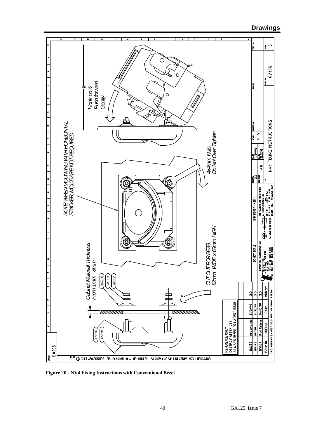

 **Drawings**

**Figure 20 - NV4 Fixing Instructions with Conventional Bezel**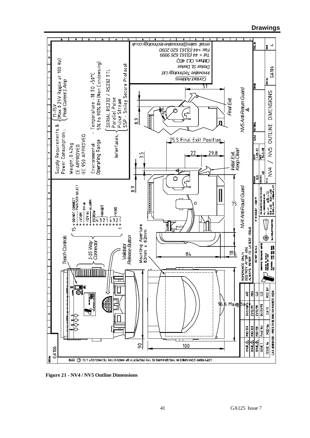

**Figure 21 - NV4 / NV5 Outline Dimensions**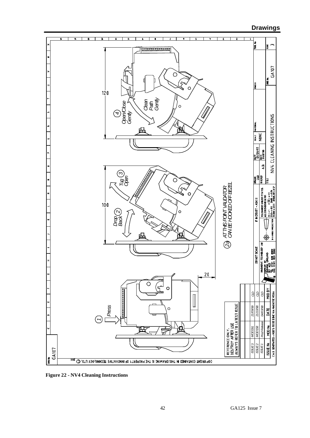# **Drawings**

![](_page_41_Figure_1.jpeg)

**Figure 22 - NV4 Cleaning Instructions**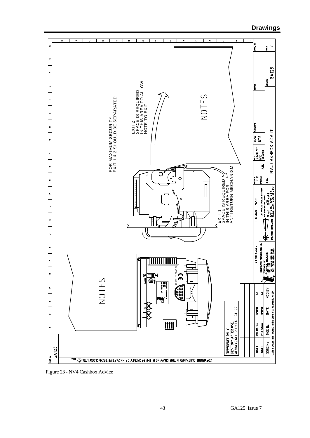![](_page_42_Figure_1.jpeg)

Figure 23 - NV4 Cashbox Advice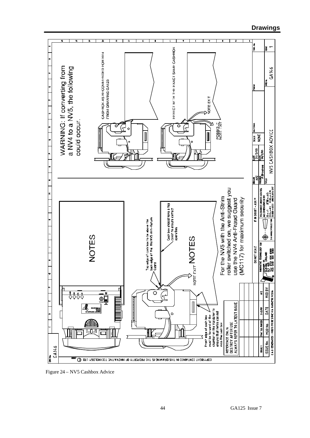![](_page_43_Figure_1.jpeg)

Figure 24 – NV5 Cashbox Advice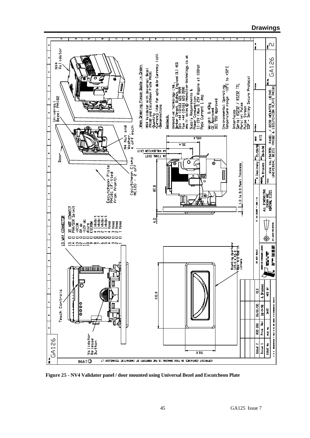![](_page_44_Figure_0.jpeg)

**Figure 25 - NV4 Validator panel / door mounted using Universal Bezel and Escutcheon Plate**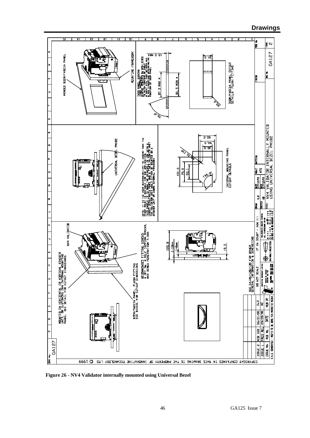![](_page_45_Figure_1.jpeg)

**Figure 26 - NV4 Validator internally mounted using Universal Bezel**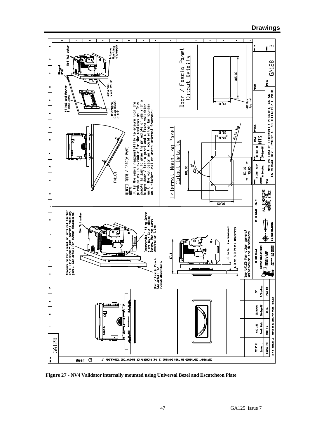![](_page_46_Figure_1.jpeg)

**Figure 27 - NV4 Validator internally mounted using Universal Bezel and Escutcheon Plate**